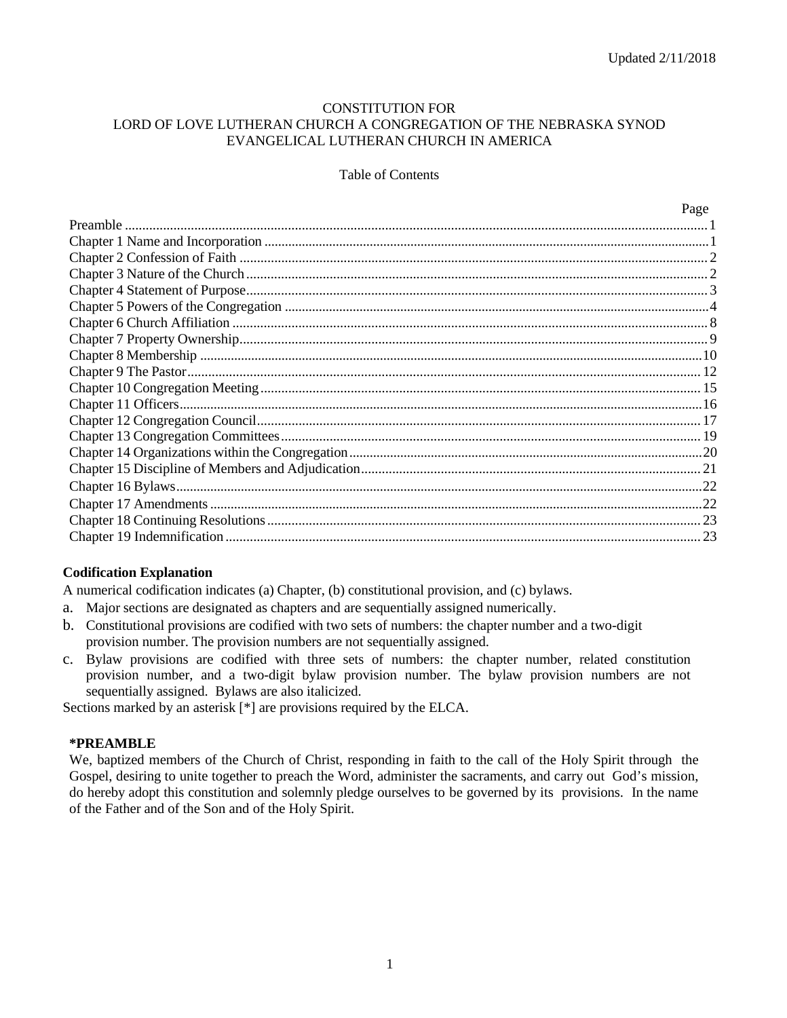### CONSTITUTION FOR LORD OF LOVE LUTHERAN CHURCH A CONGREGATION OF THE NEBRASKA SYNOD EVANGELICAL LUTHERAN CHURCH IN AMERICA

#### Table of Contents

| Page |
|------|
|      |
|      |
|      |
|      |
|      |
|      |
|      |
|      |
|      |
|      |
|      |
|      |
|      |
|      |
|      |
|      |
|      |
|      |
|      |
| . 23 |

### **Codification Explanation**

A numerical codification indicates (a) Chapter, (b) constitutional provision, and (c) bylaws.

- a. Major sections are designated as chapters and are sequentially assigned numerically.
- b. Constitutional provisions are codified with two sets of numbers: the chapter number and a two-digit provision number. The provision numbers are not sequentially assigned.
- c. Bylaw provisions are codified with three sets of numbers: the chapter number, related constitution provision number, and a two-digit bylaw provision number. The bylaw provision numbers are not sequentially assigned. Bylaws are also italicized.

Sections marked by an asterisk [\*] are provisions required by the ELCA.

#### **\*PREAMBLE**

We, baptized members of the Church of Christ, responding in faith to the call of the Holy Spirit through the Gospel, desiring to unite together to preach the Word, administer the sacraments, and carry out God's mission, do hereby adopt this constitution and solemnly pledge ourselves to be governed by its provisions. In the name of the Father and of the Son and of the Holy Spirit.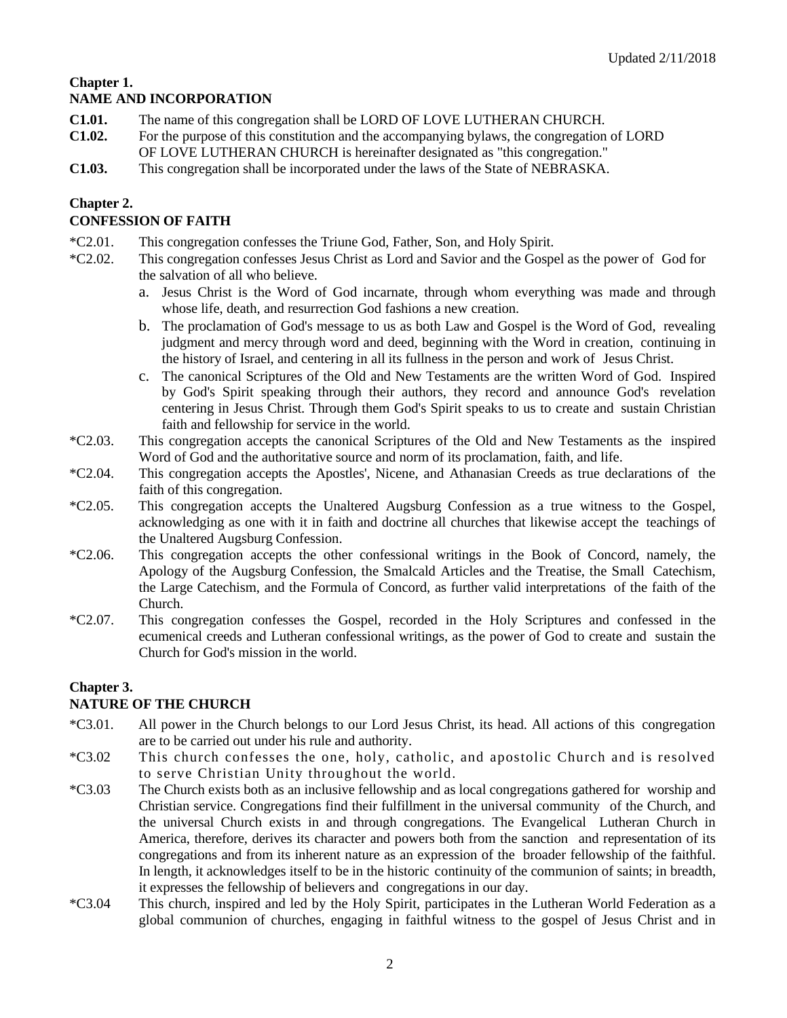# **Chapter 1. NAME AND INCORPORATION**

- **C1.01.** The name of this congregation shall be LORD OF LOVE LUTHERAN CHURCH.
- **C1.02.** For the purpose of this constitution and the accompanying bylaws, the congregation of LORD OF LOVE LUTHERAN CHURCH is hereinafter designated as "this congregation."
- **C1.03.** This congregation shall be incorporated under the laws of the State of NEBRASKA.

# **Chapter 2.**

# **CONFESSION OF FAITH**

- \*C2.01. This congregation confesses the Triune God, Father, Son, and Holy Spirit.
- \*C2.02. This congregation confesses Jesus Christ as Lord and Savior and the Gospel as the power of God for the salvation of all who believe.
	- a. Jesus Christ is the Word of God incarnate, through whom everything was made and through whose life, death, and resurrection God fashions a new creation.
	- b. The proclamation of God's message to us as both Law and Gospel is the Word of God, revealing judgment and mercy through word and deed, beginning with the Word in creation, continuing in the history of Israel, and centering in all its fullness in the person and work of Jesus Christ.
	- c. The canonical Scriptures of the Old and New Testaments are the written Word of God. Inspired by God's Spirit speaking through their authors, they record and announce God's revelation centering in Jesus Christ. Through them God's Spirit speaks to us to create and sustain Christian faith and fellowship for service in the world.
- \*C2.03. This congregation accepts the canonical Scriptures of the Old and New Testaments as the inspired Word of God and the authoritative source and norm of its proclamation, faith, and life.
- \*C2.04. This congregation accepts the Apostles', Nicene, and Athanasian Creeds as true declarations of the faith of this congregation.
- \*C2.05. This congregation accepts the Unaltered Augsburg Confession as a true witness to the Gospel, acknowledging as one with it in faith and doctrine all churches that likewise accept the teachings of the Unaltered Augsburg Confession.
- \*C2.06. This congregation accepts the other confessional writings in the Book of Concord, namely, the Apology of the Augsburg Confession, the Smalcald Articles and the Treatise, the Small Catechism, the Large Catechism, and the Formula of Concord, as further valid interpretations of the faith of the Church.
- \*C2.07. This congregation confesses the Gospel, recorded in the Holy Scriptures and confessed in the ecumenical creeds and Lutheran confessional writings, as the power of God to create and sustain the Church for God's mission in the world.

# **Chapter 3.**

# **NATURE OF THE CHURCH**

- \*C3.01. All power in the Church belongs to our Lord Jesus Christ, its head. All actions of this congregation are to be carried out under his rule and authority.
- \*C3.02 This church confesses the one, holy, catholic, and apostolic Church and is resolved to serve Christian Unity throughout the world.
- \*C3.03 The Church exists both as an inclusive fellowship and as local congregations gathered for worship and Christian service. Congregations find their fulfillment in the universal community of the Church, and the universal Church exists in and through congregations. The Evangelical Lutheran Church in America, therefore, derives its character and powers both from the sanction and representation of its congregations and from its inherent nature as an expression of the broader fellowship of the faithful. In length, it acknowledges itself to be in the historic continuity of the communion of saints; in breadth, it expresses the fellowship of believers and congregations in our day.
- \*C3.04 This church, inspired and led by the Holy Spirit, participates in the Lutheran World Federation as a global communion of churches, engaging in faithful witness to the gospel of Jesus Christ and in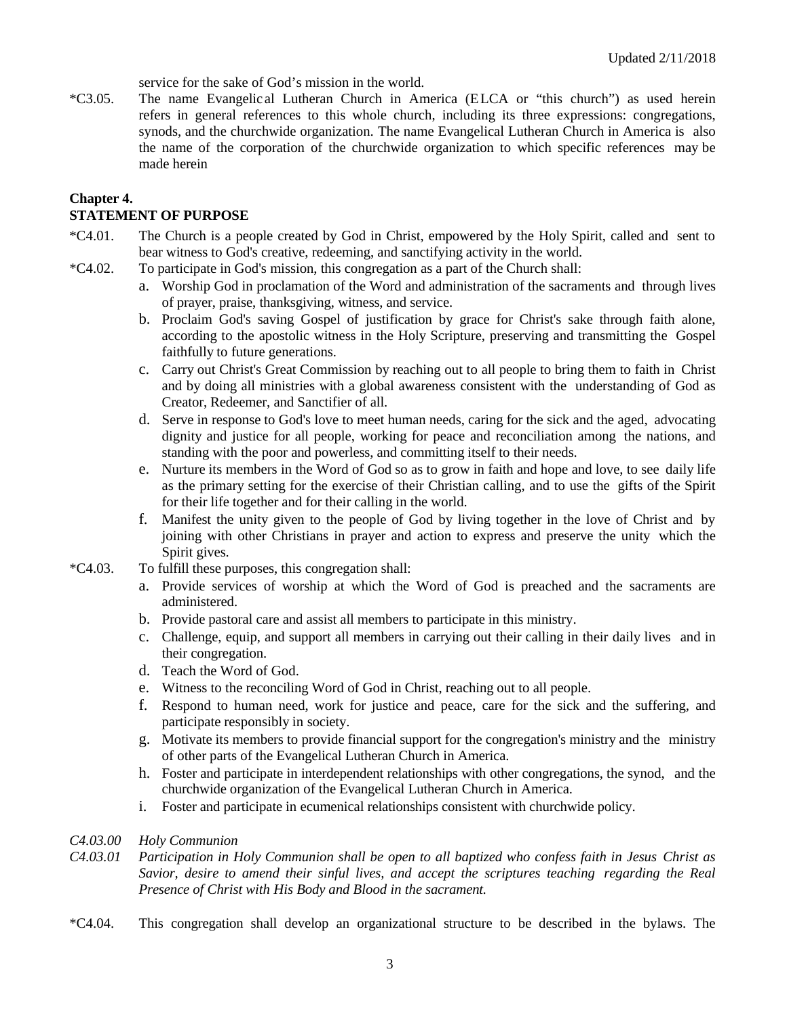service for the sake of God's mission in the world.

\*C3.05. The name Evangelic al Lutheran Church in America (E LCA or "this church") as used herein refers in general references to this whole church, including its three expressions: congregations, synods, and the churchwide organization. The name Evangelical Lutheran Church in America is also the name of the corporation of the churchwide organization to which specific references may be made herein

### **Chapter 4.**

# **STATEMENT OF PURPOSE**

- \*C4.01. The Church is a people created by God in Christ, empowered by the Holy Spirit, called and sent to bear witness to God's creative, redeeming, and sanctifying activity in the world.
- \*C4.02. To participate in God's mission, this congregation as a part of the Church shall:
	- a. Worship God in proclamation of the Word and administration of the sacraments and through lives of prayer, praise, thanksgiving, witness, and service.
	- b. Proclaim God's saving Gospel of justification by grace for Christ's sake through faith alone, according to the apostolic witness in the Holy Scripture, preserving and transmitting the Gospel faithfully to future generations.
	- c. Carry out Christ's Great Commission by reaching out to all people to bring them to faith in Christ and by doing all ministries with a global awareness consistent with the understanding of God as Creator, Redeemer, and Sanctifier of all.
	- d. Serve in response to God's love to meet human needs, caring for the sick and the aged, advocating dignity and justice for all people, working for peace and reconciliation among the nations, and standing with the poor and powerless, and committing itself to their needs.
	- e. Nurture its members in the Word of God so as to grow in faith and hope and love, to see daily life as the primary setting for the exercise of their Christian calling, and to use the gifts of the Spirit for their life together and for their calling in the world.
	- f. Manifest the unity given to the people of God by living together in the love of Christ and by joining with other Christians in prayer and action to express and preserve the unity which the Spirit gives.
- \*C4.03. To fulfill these purposes, this congregation shall:
	- a. Provide services of worship at which the Word of God is preached and the sacraments are administered.
	- b. Provide pastoral care and assist all members to participate in this ministry.
	- c. Challenge, equip, and support all members in carrying out their calling in their daily lives and in their congregation.
	- d. Teach the Word of God.
	- e. Witness to the reconciling Word of God in Christ, reaching out to all people.
	- f. Respond to human need, work for justice and peace, care for the sick and the suffering, and participate responsibly in society.
	- g. Motivate its members to provide financial support for the congregation's ministry and the ministry of other parts of the Evangelical Lutheran Church in America.
	- h. Foster and participate in interdependent relationships with other congregations, the synod, and the churchwide organization of the Evangelical Lutheran Church in America.
	- i. Foster and participate in ecumenical relationships consistent with churchwide policy.

### *C4.03.00 Holy Communion*

- *C4.03.01 Participation in Holy Communion shall be open to all baptized who confess faith in Jesus Christ as Savior, desire to amend their sinful lives, and accept the scriptures teaching regarding the Real Presence of Christ with His Body and Blood in the sacrament.*
- \*C4.04. This congregation shall develop an organizational structure to be described in the bylaws. The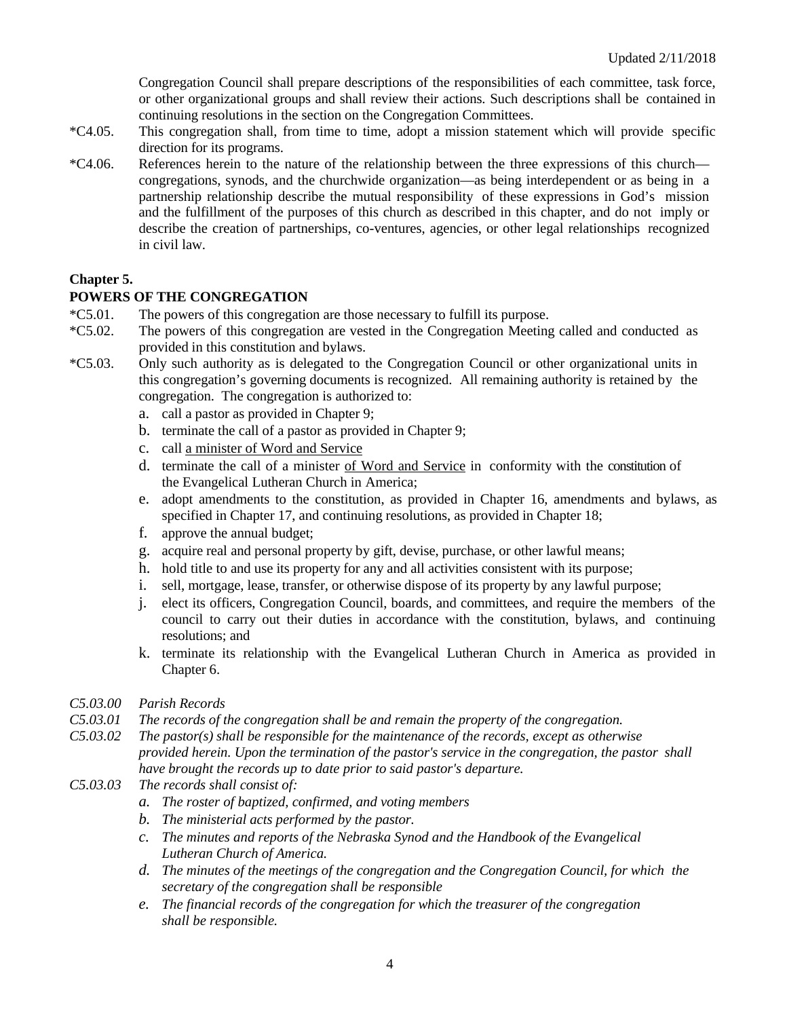Congregation Council shall prepare descriptions of the responsibilities of each committee, task force, or other organizational groups and shall review their actions. Such descriptions shall be contained in continuing resolutions in the section on the Congregation Committees.

- \*C4.05. This congregation shall, from time to time, adopt a mission statement which will provide specific direction for its programs.
- \*C4.06. References herein to the nature of the relationship between the three expressions of this church congregations, synods, and the churchwide organization—as being interdependent or as being in a partnership relationship describe the mutual responsibility of these expressions in God's mission and the fulfillment of the purposes of this church as described in this chapter, and do not imply or describe the creation of partnerships, co-ventures, agencies, or other legal relationships recognized in civil law.

# **Chapter 5.**

# **POWERS OF THE CONGREGATION**

- \*C5.01. The powers of this congregation are those necessary to fulfill its purpose.
- \*C5.02. The powers of this congregation are vested in the Congregation Meeting called and conducted as provided in this constitution and bylaws.
- \*C5.03. Only such authority as is delegated to the Congregation Council or other organizational units in this congregation's governing documents is recognized. All remaining authority is retained by the congregation. The congregation is authorized to:
	- a. call a pastor as provided in Chapter 9;
	- b. terminate the call of a pastor as provided in Chapter 9;
	- c. call a minister of Word and Service
	- d. terminate the call of a minister of Word and Service in conformity with the constitution of the Evangelical Lutheran Church in America;
	- e. adopt amendments to the constitution, as provided in Chapter 16, amendments and bylaws, as specified in Chapter 17, and continuing resolutions, as provided in Chapter 18;
	- f. approve the annual budget;
	- g. acquire real and personal property by gift, devise, purchase, or other lawful means;
	- h. hold title to and use its property for any and all activities consistent with its purpose;
	- i. sell, mortgage, lease, transfer, or otherwise dispose of its property by any lawful purpose;
	- j. elect its officers, Congregation Council, boards, and committees, and require the members of the council to carry out their duties in accordance with the constitution, bylaws, and continuing resolutions; and
	- k. terminate its relationship with the Evangelical Lutheran Church in America as provided in Chapter 6.
- *C5.03.00 Parish Records*
- *C5.03.01 The records of the congregation shall be and remain the property of the congregation.*
- *C5.03.02 The pastor(s) shall be responsible for the maintenance of the records, except as otherwise provided herein. Upon the termination of the pastor's service in the congregation, the pastor shall have brought the records up to date prior to said pastor's departure.*
- *C5.03.03 The records shall consist of:*
	- *a. The roster of baptized, confirmed, and voting members*
	- *b. The ministerial acts performed by the pastor.*
	- *c. The minutes and reports of the Nebraska Synod and the Handbook of the Evangelical Lutheran Church of America.*
	- *d. The minutes of the meetings of the congregation and the Congregation Council, for which the secretary of the congregation shall be responsible*
	- *e. The financial records of the congregation for which the treasurer of the congregation shall be responsible.*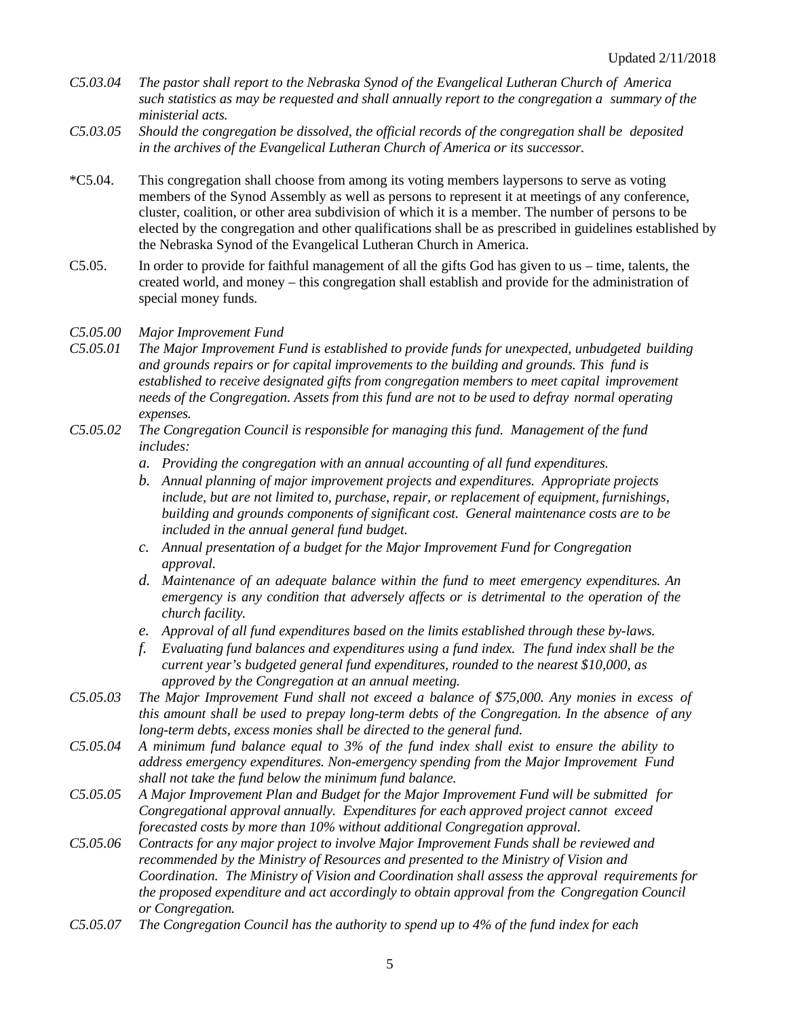- *C5.03.04 The pastor shall report to the Nebraska Synod of the Evangelical Lutheran Church of America such statistics as may be requested and shall annually report to the congregation a summary of the ministerial acts.*
- *C5.03.05 Should the congregation be dissolved, the official records of the congregation shall be deposited in the archives of the Evangelical Lutheran Church of America or its successor.*
- \*C5.04. This congregation shall choose from among its voting members laypersons to serve as voting members of the Synod Assembly as well as persons to represent it at meetings of any conference, cluster, coalition, or other area subdivision of which it is a member. The number of persons to be elected by the congregation and other qualifications shall be as prescribed in guidelines established by the Nebraska Synod of the Evangelical Lutheran Church in America.
- C5.05. In order to provide for faithful management of all the gifts God has given to us time, talents, the created world, and money – this congregation shall establish and provide for the administration of special money funds*.*

*C5.05.00 Major Improvement Fund*

- *C5.05.01 The Major Improvement Fund is established to provide funds for unexpected, unbudgeted building and grounds repairs or for capital improvements to the building and grounds. This fund is established to receive designated gifts from congregation members to meet capital improvement needs of the Congregation. Assets from this fund are not to be used to defray normal operating expenses.*
- *C5.05.02 The Congregation Council is responsible for managing this fund. Management of the fund includes:*
	- *a. Providing the congregation with an annual accounting of all fund expenditures.*
	- *b. Annual planning of major improvement projects and expenditures. Appropriate projects include, but are not limited to, purchase, repair, or replacement of equipment, furnishings, building and grounds components of significant cost. General maintenance costs are to be included in the annual general fund budget.*
	- *c. Annual presentation of a budget for the Major Improvement Fund for Congregation approval.*
	- *d. Maintenance of an adequate balance within the fund to meet emergency expenditures. An emergency is any condition that adversely affects or is detrimental to the operation of the church facility.*
	- *e. Approval of all fund expenditures based on the limits established through these by-laws.*
	- *f. Evaluating fund balances and expenditures using a fund index. The fund index shall be the current year's budgeted general fund expenditures, rounded to the nearest \$10,000, as approved by the Congregation at an annual meeting.*
- *C5.05.03 The Major Improvement Fund shall not exceed a balance of \$75,000. Any monies in excess of this amount shall be used to prepay long-term debts of the Congregation. In the absence of any long-term debts, excess monies shall be directed to the general fund.*
- *C5.05.04 A minimum fund balance equal to 3% of the fund index shall exist to ensure the ability to address emergency expenditures. Non-emergency spending from the Major Improvement Fund shall not take the fund below the minimum fund balance.*
- *C5.05.05 A Major Improvement Plan and Budget for the Major Improvement Fund will be submitted for Congregational approval annually. Expenditures for each approved project cannot exceed forecasted costs by more than 10% without additional Congregation approval.*
- *C5.05.06 Contracts for any major project to involve Major Improvement Funds shall be reviewed and recommended by the Ministry of Resources and presented to the Ministry of Vision and Coordination. The Ministry of Vision and Coordination shall assess the approval requirements for the proposed expenditure and act accordingly to obtain approval from the Congregation Council or Congregation.*
- *C5.05.07 The Congregation Council has the authority to spend up to 4% of the fund index for each*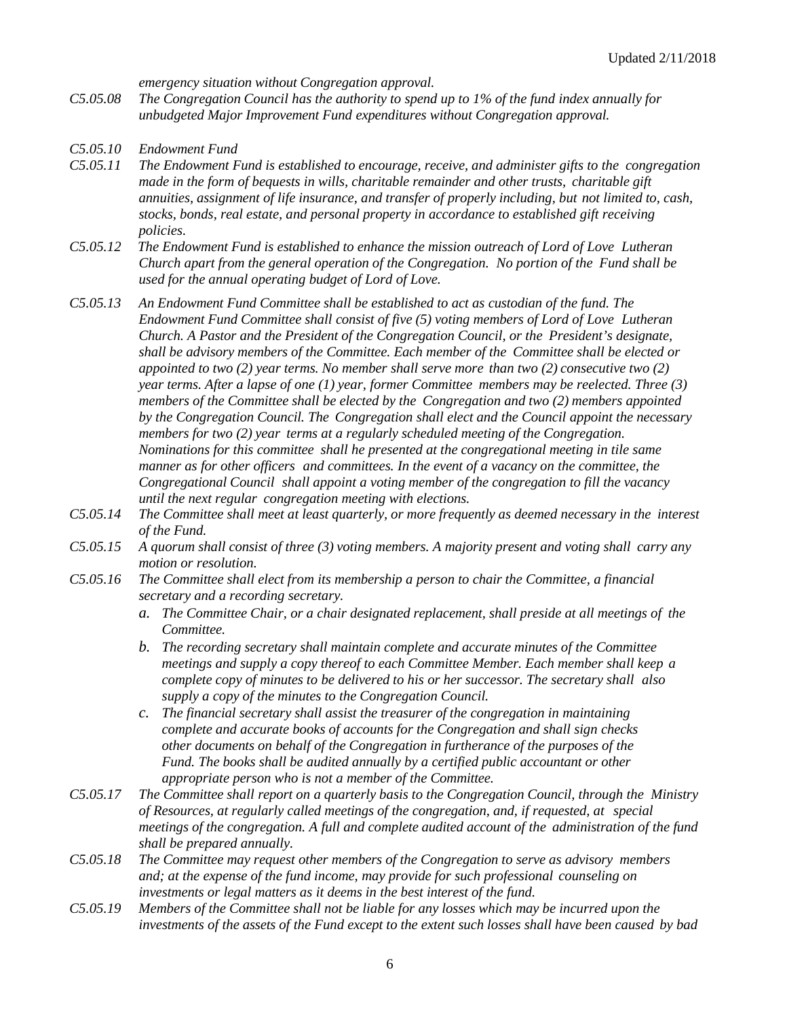*emergency situation without Congregation approval.* 

- *C5.05.08 The Congregation Council has the authority to spend up to 1% of the fund index annually for unbudgeted Major Improvement Fund expenditures without Congregation approval.*
- *C5.05.10 Endowment Fund*
- *C5.05.11 The Endowment Fund is established to encourage, receive, and administer gifts to the congregation made in the form of bequests in wills, charitable remainder and other trusts, charitable gift annuities, assignment of life insurance, and transfer of properly including, but not limited to, cash, stocks, bonds, real estate, and personal property in accordance to established gift receiving policies.*
- *C5.05.12 The Endowment Fund is established to enhance the mission outreach of Lord of Love Lutheran Church apart from the general operation of the Congregation. No portion of the Fund shall be used for the annual operating budget of Lord of Love.*
- *C5.05.13 An Endowment Fund Committee shall be established to act as custodian of the fund. The Endowment Fund Committee shall consist of five (5) voting members of Lord of Love Lutheran Church. A Pastor and the President of the Congregation Council, or the President's designate, shall be advisory members of the Committee. Each member of the Committee shall be elected or appointed to two (2) year terms. No member shall serve more than two (2) consecutive two (2) year terms. After a lapse of one (1) year, former Committee members may be reelected. Three (3) members of the Committee shall be elected by the Congregation and two (2) members appointed by the Congregation Council. The Congregation shall elect and the Council appoint the necessary members for two (2) year terms at a regularly scheduled meeting of the Congregation. Nominations for this committee shall he presented at the congregational meeting in tile same manner as for other officers and committees. In the event of a vacancy on the committee, the Congregational Council shall appoint a voting member of the congregation to fill the vacancy until the next regular congregation meeting with elections.*
- *C5.05.14 The Committee shall meet at least quarterly, or more frequently as deemed necessary in the interest of the Fund.*
- *C5.05.15 A quorum shall consist of three (3) voting members. A majority present and voting shall carry any motion or resolution.*
- *C5.05.16 The Committee shall elect from its membership a person to chair the Committee, a financial secretary and a recording secretary.*
	- *a. The Committee Chair, or a chair designated replacement, shall preside at all meetings of the Committee.*
	- *b. The recording secretary shall maintain complete and accurate minutes of the Committee meetings and supply a copy thereof to each Committee Member. Each member shall keep a complete copy of minutes to be delivered to his or her successor. The secretary shall also supply a copy of the minutes to the Congregation Council.*
	- *c. The financial secretary shall assist the treasurer of the congregation in maintaining complete and accurate books of accounts for the Congregation and shall sign checks other documents on behalf of the Congregation in furtherance of the purposes of the Fund. The books shall be audited annually by a certified public accountant or other appropriate person who is not a member of the Committee.*
- *C5.05.17 The Committee shall report on a quarterly basis to the Congregation Council, through the Ministry of Resources, at regularly called meetings of the congregation, and, if requested, at special meetings of the congregation. A full and complete audited account of the administration of the fund shall be prepared annually.*
- *C5.05.18 The Committee may request other members of the Congregation to serve as advisory members and; at the expense of the fund income, may provide for such professional counseling on investments or legal matters as it deems in the best interest of the fund.*
- *C5.05.19 Members of the Committee shall not be liable for any losses which may be incurred upon the investments of the assets of the Fund except to the extent such losses shall have been caused by bad*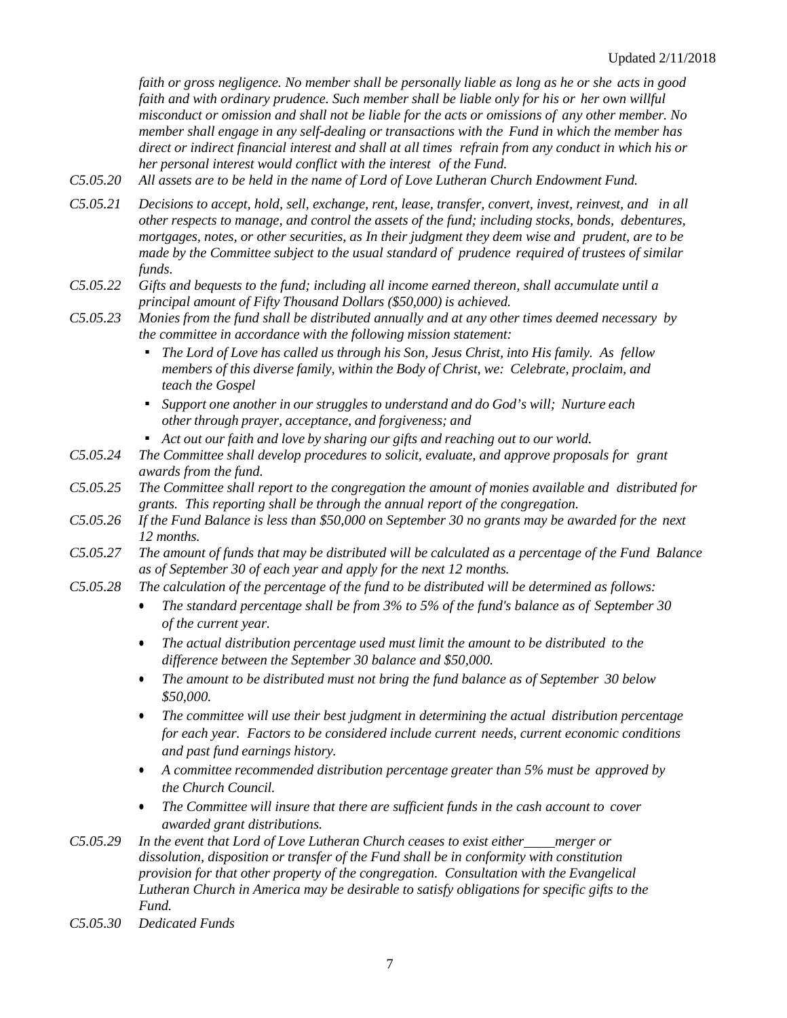*faith or gross negligence. No member shall be personally liable as long as he or she acts in good faith and with ordinary prudence. Such member shall be liable only for his or her own willful misconduct or omission and shall not be liable for the acts or omissions of any other member. No member shall engage in any self-dealing or transactions with the Fund in which the member has direct or indirect financial interest and shall at all times refrain from any conduct in which his or her personal interest would conflict with the interest of the Fund.*

- *C5.05.20 All assets are to be held in the name of Lord of Love Lutheran Church Endowment Fund.*
- *C5.05.21 Decisions to accept, hold, sell, exchange, rent, lease, transfer, convert, invest, reinvest, and in all other respects to manage, and control the assets of the fund; including stocks, bonds, debentures, mortgages, notes, or other securities, as In their judgment they deem wise and prudent, are to be made by the Committee subject to the usual standard of prudence required of trustees of similar funds.*
- *C5.05.22 Gifts and bequests to the fund; including all income earned thereon, shall accumulate until a principal amount of Fifty Thousand Dollars (\$50,000) is achieved.*
- *C5.05.23 Monies from the fund shall be distributed annually and at any other times deemed necessary by the committee in accordance with the following mission statement:*
	- *▪ The Lord of Love has called us through his Son, Jesus Christ, into His family. As fellow members of this diverse family, within the Body of Christ, we: Celebrate, proclaim, and teach the Gospel*
	- *▪ Support one another in our struggles to understand and do God's will; Nurture each other through prayer, acceptance, and forgiveness; and*
	- *▪ Act out our faith and love by sharing our gifts and reaching out to our world.*
- *C5.05.24 The Committee shall develop procedures to solicit, evaluate, and approve proposals for grant awards from the fund.*
- *C5.05.25 The Committee shall report to the congregation the amount of monies available and distributed for grants. This reporting shall be through the annual report of the congregation.*
- *C5.05.26 If the Fund Balance is less than \$50,000 on September 30 no grants may be awarded for the next 12 months.*
- *C5.05.27 The amount of funds that may be distributed will be calculated as a percentage of the Fund Balance as of September 30 of each year and apply for the next 12 months.*
- *C5.05.28 The calculation of the percentage of the fund to be distributed will be determined as follows:*
	- *The standard percentage shall be from 3% to 5% of the fund's balance as of September 30 of the current year.*
	- *The actual distribution percentage used must limit the amount to be distributed to the difference between the September 30 balance and \$50,000.*
	- *The amount to be distributed must not bring the fund balance as of September 30 below \$50,000.*
	- *The committee will use their best judgment in determining the actual distribution percentage for each year. Factors to be considered include current needs, current economic conditions and past fund earnings history.*
	- *A committee recommended distribution percentage greater than 5% must be approved by the Church Council.*
	- *The Committee will insure that there are sufficient funds in the cash account to cover awarded grant distributions.*
- *C5.05.29 In the event that Lord of Love Lutheran Church ceases to exist either merger or dissolution, disposition or transfer of the Fund shall be in conformity with constitution provision for that other property of the congregation. Consultation with the Evangelical Lutheran Church in America may be desirable to satisfy obligations for specific gifts to the Fund.*
- *C5.05.30 Dedicated Funds*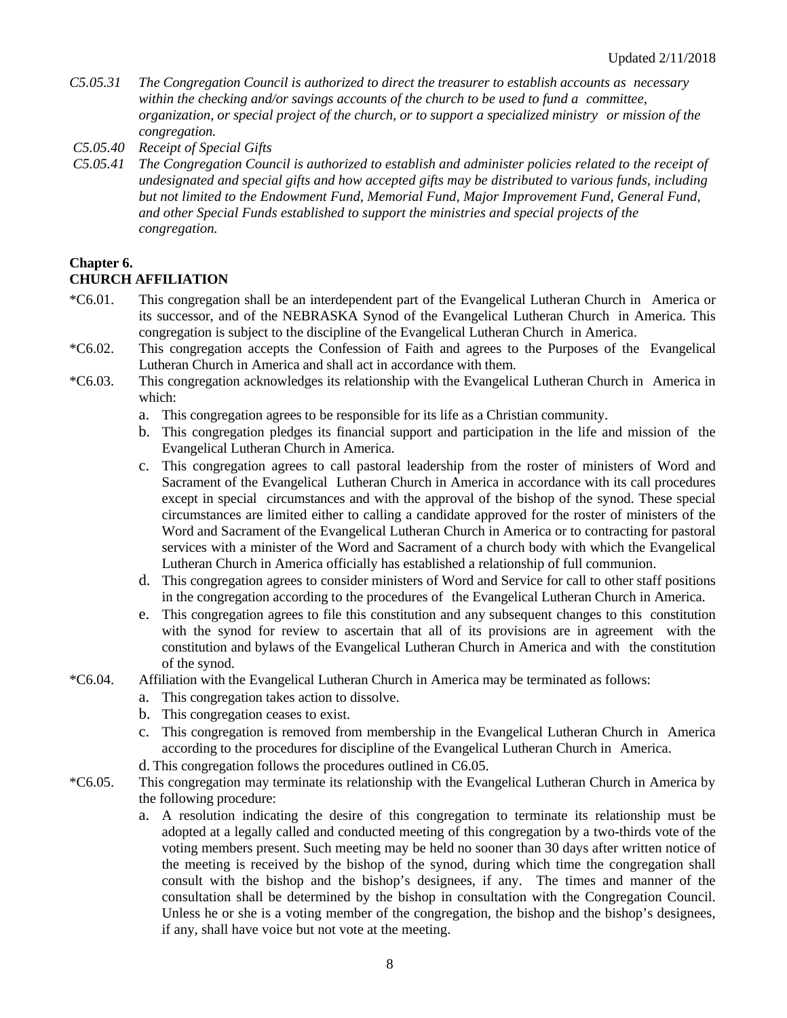- *C5.05.31 The Congregation Council is authorized to direct the treasurer to establish accounts as necessary within the checking and/or savings accounts of the church to be used to fund a committee, organization, or special project of the church, or to support a specialized ministry or mission of the congregation.*
- *C5.05.40 Receipt of Special Gifts*
- *C5.05.41 The Congregation Council is authorized to establish and administer policies related to the receipt of undesignated and special gifts and how accepted gifts may be distributed to various funds, including but not limited to the Endowment Fund, Memorial Fund, Major Improvement Fund, General Fund, and other Special Funds established to support the ministries and special projects of the congregation.*

# **Chapter 6.**

# **CHURCH AFFILIATION**

- \*C6.01. This congregation shall be an interdependent part of the Evangelical Lutheran Church in America or its successor, and of the NEBRASKA Synod of the Evangelical Lutheran Church in America. This congregation is subject to the discipline of the Evangelical Lutheran Church in America.
- \*C6.02. This congregation accepts the Confession of Faith and agrees to the Purposes of the Evangelical Lutheran Church in America and shall act in accordance with them.
- \*C6.03. This congregation acknowledges its relationship with the Evangelical Lutheran Church in America in which:
	- a. This congregation agrees to be responsible for its life as a Christian community.
	- b. This congregation pledges its financial support and participation in the life and mission of the Evangelical Lutheran Church in America.
	- c. This congregation agrees to call pastoral leadership from the roster of ministers of Word and Sacrament of the Evangelical Lutheran Church in America in accordance with its call procedures except in special circumstances and with the approval of the bishop of the synod. These special circumstances are limited either to calling a candidate approved for the roster of ministers of the Word and Sacrament of the Evangelical Lutheran Church in America or to contracting for pastoral services with a minister of the Word and Sacrament of a church body with which the Evangelical Lutheran Church in America officially has established a relationship of full communion.
	- d. This congregation agrees to consider ministers of Word and Service for call to other staff positions in the congregation according to the procedures of the Evangelical Lutheran Church in America.
	- e. This congregation agrees to file this constitution and any subsequent changes to this constitution with the synod for review to ascertain that all of its provisions are in agreement with the constitution and bylaws of the Evangelical Lutheran Church in America and with the constitution of the synod.
- \*C6.04. Affiliation with the Evangelical Lutheran Church in America may be terminated as follows:
	- a. This congregation takes action to dissolve.
	- b. This congregation ceases to exist.
	- c. This congregation is removed from membership in the Evangelical Lutheran Church in America according to the procedures for discipline of the Evangelical Lutheran Church in America.
	- d. This congregation follows the procedures outlined in C6.05.
- \*C6.05. This congregation may terminate its relationship with the Evangelical Lutheran Church in America by the following procedure:
	- a. A resolution indicating the desire of this congregation to terminate its relationship must be adopted at a legally called and conducted meeting of this congregation by a two-thirds vote of the voting members present. Such meeting may be held no sooner than 30 days after written notice of the meeting is received by the bishop of the synod, during which time the congregation shall consult with the bishop and the bishop's designees, if any. The times and manner of the consultation shall be determined by the bishop in consultation with the Congregation Council. Unless he or she is a voting member of the congregation, the bishop and the bishop's designees, if any, shall have voice but not vote at the meeting.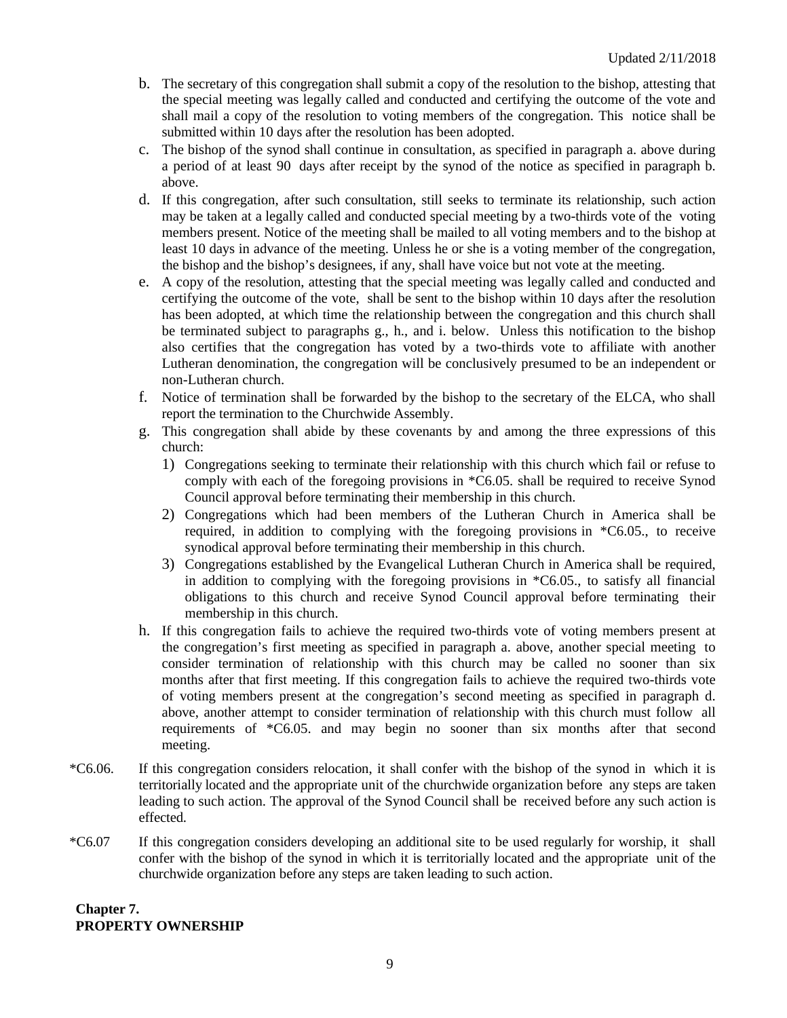- b. The secretary of this congregation shall submit a copy of the resolution to the bishop, attesting that the special meeting was legally called and conducted and certifying the outcome of the vote and shall mail a copy of the resolution to voting members of the congregation. This notice shall be submitted within 10 days after the resolution has been adopted.
- c. The bishop of the synod shall continue in consultation, as specified in paragraph a. above during a period of at least 90 days after receipt by the synod of the notice as specified in paragraph b. above.
- d. If this congregation, after such consultation, still seeks to terminate its relationship, such action may be taken at a legally called and conducted special meeting by a two-thirds vote of the voting members present. Notice of the meeting shall be mailed to all voting members and to the bishop at least 10 days in advance of the meeting. Unless he or she is a voting member of the congregation, the bishop and the bishop's designees, if any, shall have voice but not vote at the meeting.
- e. A copy of the resolution, attesting that the special meeting was legally called and conducted and certifying the outcome of the vote, shall be sent to the bishop within 10 days after the resolution has been adopted, at which time the relationship between the congregation and this church shall be terminated subject to paragraphs g., h., and i. below. Unless this notification to the bishop also certifies that the congregation has voted by a two-thirds vote to affiliate with another Lutheran denomination, the congregation will be conclusively presumed to be an independent or non-Lutheran church.
- f. Notice of termination shall be forwarded by the bishop to the secretary of the ELCA, who shall report the termination to the Churchwide Assembly.
- g. This congregation shall abide by these covenants by and among the three expressions of this church:
	- 1) Congregations seeking to terminate their relationship with this church which fail or refuse to comply with each of the foregoing provisions in \*C6.05. shall be required to receive Synod Council approval before terminating their membership in this church.
	- 2) Congregations which had been members of the Lutheran Church in America shall be required, in addition to complying with the foregoing provisions in \*C6.05., to receive synodical approval before terminating their membership in this church.
	- 3) Congregations established by the Evangelical Lutheran Church in America shall be required, in addition to complying with the foregoing provisions in \*C6.05., to satisfy all financial obligations to this church and receive Synod Council approval before terminating their membership in this church.
- h. If this congregation fails to achieve the required two-thirds vote of voting members present at the congregation's first meeting as specified in paragraph a. above, another special meeting to consider termination of relationship with this church may be called no sooner than six months after that first meeting. If this congregation fails to achieve the required two-thirds vote of voting members present at the congregation's second meeting as specified in paragraph d. above, another attempt to consider termination of relationship with this church must follow all requirements of \*C6.05. and may begin no sooner than six months after that second meeting.
- \*C6.06. If this congregation considers relocation, it shall confer with the bishop of the synod in which it is territorially located and the appropriate unit of the churchwide organization before any steps are taken leading to such action. The approval of the Synod Council shall be received before any such action is effected.
- \*C6.07 If this congregation considers developing an additional site to be used regularly for worship, it shall confer with the bishop of the synod in which it is territorially located and the appropriate unit of the churchwide organization before any steps are taken leading to such action.

# **Chapter 7. PROPERTY OWNERSHIP**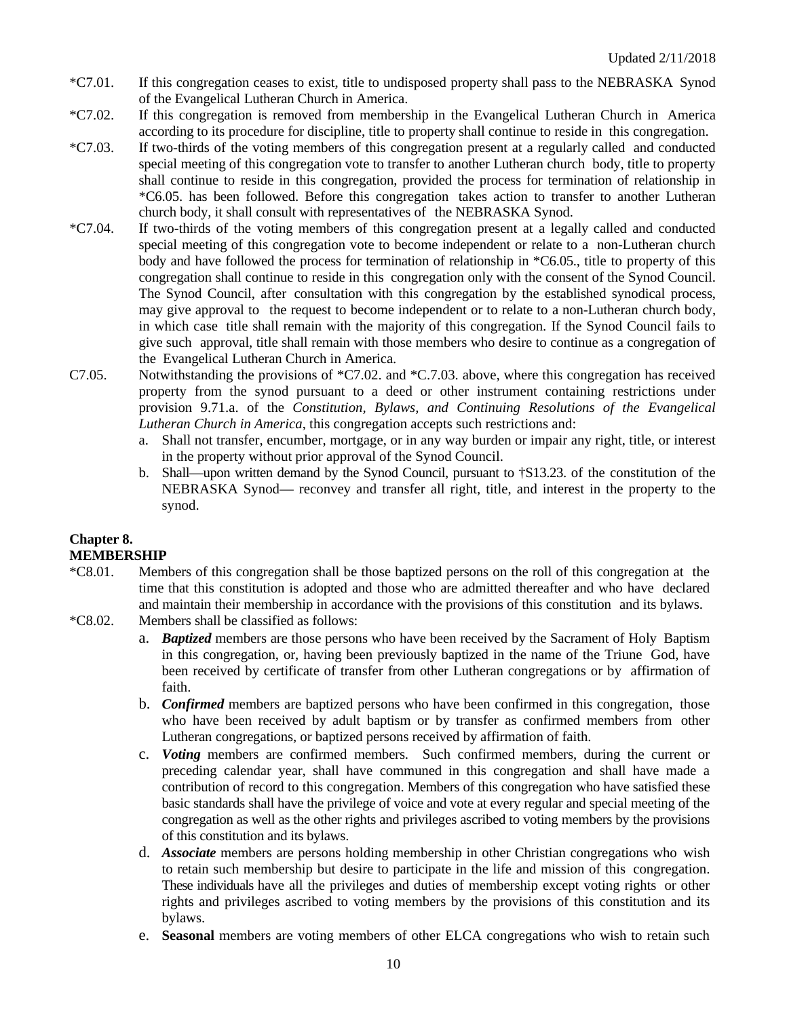- \*C7.01. If this congregation ceases to exist, title to undisposed property shall pass to the NEBRASKA Synod of the Evangelical Lutheran Church in America.
- \*C7.02. If this congregation is removed from membership in the Evangelical Lutheran Church in America according to its procedure for discipline, title to property shall continue to reside in this congregation.
- \*C7.03. If two-thirds of the voting members of this congregation present at a regularly called and conducted special meeting of this congregation vote to transfer to another Lutheran church body, title to property shall continue to reside in this congregation, provided the process for termination of relationship in \*C6.05. has been followed. Before this congregation takes action to transfer to another Lutheran church body, it shall consult with representatives of the NEBRASKA Synod.
- \*C7.04. If two-thirds of the voting members of this congregation present at a legally called and conducted special meeting of this congregation vote to become independent or relate to a non-Lutheran church body and have followed the process for termination of relationship in \*C6.05., title to property of this congregation shall continue to reside in this congregation only with the consent of the Synod Council. The Synod Council, after consultation with this congregation by the established synodical process, may give approval to the request to become independent or to relate to a non-Lutheran church body, in which case title shall remain with the majority of this congregation. If the Synod Council fails to give such approval, title shall remain with those members who desire to continue as a congregation of the Evangelical Lutheran Church in America.
- C7.05. Notwithstanding the provisions of \*C7.02. and \*C.7.03. above, where this congregation has received property from the synod pursuant to a deed or other instrument containing restrictions under provision 9.71.a. of the *Constitution, Bylaws, and Continuing Resolutions of the Evangelical Lutheran Church in America*, this congregation accepts such restrictions and:
	- a. Shall not transfer, encumber, mortgage, or in any way burden or impair any right, title, or interest in the property without prior approval of the Synod Council.
	- b. Shall—upon written demand by the Synod Council, pursuant to †S13.23. of the constitution of the NEBRASKA Synod— reconvey and transfer all right, title, and interest in the property to the synod.

# **Chapter 8. MEMBERSHIP**

- \*C8.01. Members of this congregation shall be those baptized persons on the roll of this congregation at the time that this constitution is adopted and those who are admitted thereafter and who have declared and maintain their membership in accordance with the provisions of this constitution and its bylaws.
- \*C8.02. Members shall be classified as follows:
	- a. *Baptized* members are those persons who have been received by the Sacrament of Holy Baptism in this congregation, or, having been previously baptized in the name of the Triune God, have been received by certificate of transfer from other Lutheran congregations or by affirmation of faith.
	- b. *Confirmed* members are baptized persons who have been confirmed in this congregation, those who have been received by adult baptism or by transfer as confirmed members from other Lutheran congregations, or baptized persons received by affirmation of faith.
	- c. *Voting* members are confirmed members. Such confirmed members, during the current or preceding calendar year, shall have communed in this congregation and shall have made a contribution of record to this congregation. Members of this congregation who have satisfied these basic standards shall have the privilege of voice and vote at every regular and special meeting of the congregation as well as the other rights and privileges ascribed to voting members by the provisions of this constitution and its bylaws.
	- d. *Associate* members are persons holding membership in other Christian congregations who wish to retain such membership but desire to participate in the life and mission of this congregation. These individuals have all the privileges and duties of membership except voting rights or other rights and privileges ascribed to voting members by the provisions of this constitution and its bylaws.
	- e. **Seasonal** members are voting members of other ELCA congregations who wish to retain such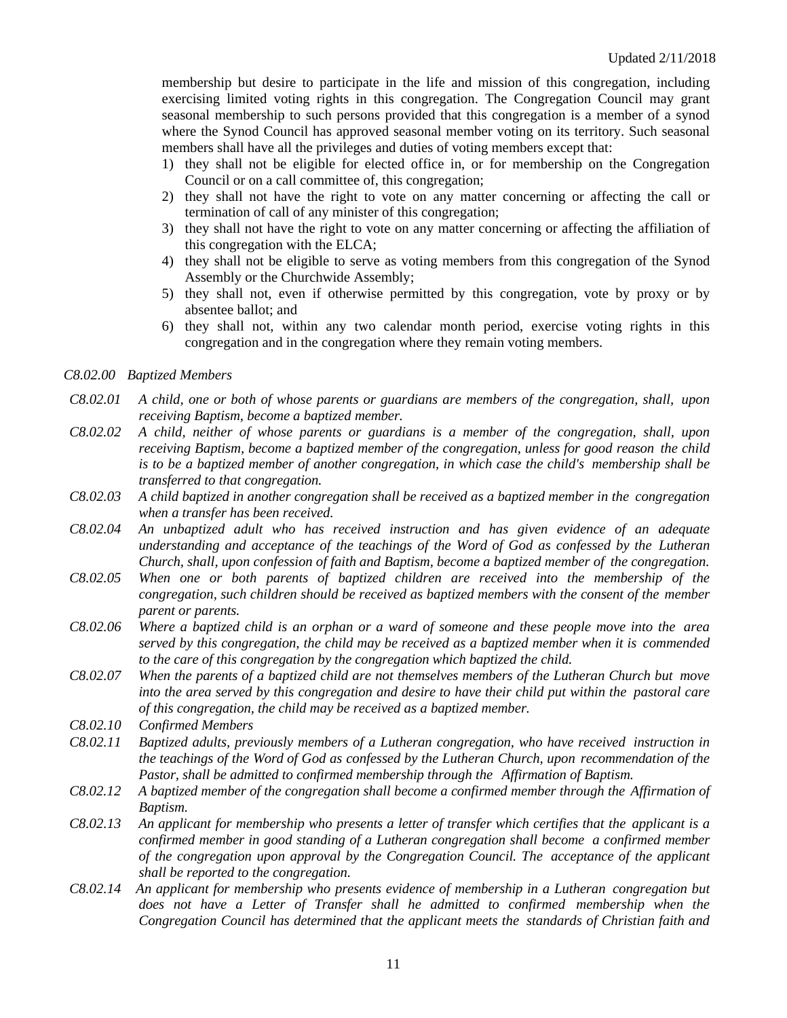membership but desire to participate in the life and mission of this congregation, including exercising limited voting rights in this congregation. The Congregation Council may grant seasonal membership to such persons provided that this congregation is a member of a synod where the Synod Council has approved seasonal member voting on its territory. Such seasonal members shall have all the privileges and duties of voting members except that:

- 1) they shall not be eligible for elected office in, or for membership on the Congregation Council or on a call committee of, this congregation;
- 2) they shall not have the right to vote on any matter concerning or affecting the call or termination of call of any minister of this congregation;
- 3) they shall not have the right to vote on any matter concerning or affecting the affiliation of this congregation with the ELCA;
- 4) they shall not be eligible to serve as voting members from this congregation of the Synod Assembly or the Churchwide Assembly;
- 5) they shall not, even if otherwise permitted by this congregation, vote by proxy or by absentee ballot; and
- 6) they shall not, within any two calendar month period, exercise voting rights in this congregation and in the congregation where they remain voting members.

### *C8.02.00 Baptized Members*

- *C8.02.01 A child, one or both of whose parents or guardians are members of the congregation, shall, upon receiving Baptism, become a baptized member.*
- *C8.02.02 A child, neither of whose parents or guardians is a member of the congregation, shall, upon receiving Baptism, become a baptized member of the congregation, unless for good reason the child is to be a baptized member of another congregation, in which case the child's membership shall be transferred to that congregation.*
- *C8.02.03 A child baptized in another congregation shall be received as a baptized member in the congregation when a transfer has been received.*
- *C8.02.04 An unbaptized adult who has received instruction and has given evidence of an adequate understanding and acceptance of the teachings of the Word of God as confessed by the Lutheran Church, shall, upon confession of faith and Baptism, become a baptized member of the congregation.*
- *C8.02.05 When one or both parents of baptized children are received into the membership of the congregation, such children should be received as baptized members with the consent of the member parent or parents.*
- *C8.02.06 Where a baptized child is an orphan or a ward of someone and these people move into the area served by this congregation, the child may be received as a baptized member when it is commended to the care of this congregation by the congregation which baptized the child.*
- *C8.02.07 When the parents of a baptized child are not themselves members of the Lutheran Church but move into the area served by this congregation and desire to have their child put within the pastoral care of this congregation, the child may be received as a baptized member.*
- *C8.02.10 Confirmed Members*
- *C8.02.11 Baptized adults, previously members of a Lutheran congregation, who have received instruction in the teachings of the Word of God as confessed by the Lutheran Church, upon recommendation of the Pastor, shall be admitted to confirmed membership through the Affirmation of Baptism.*
- *C8.02.12 A baptized member of the congregation shall become a confirmed member through the Affirmation of Baptism.*
- *C8.02.13 An applicant for membership who presents a letter of transfer which certifies that the applicant is a confirmed member in good standing of a Lutheran congregation shall become a confirmed member of the congregation upon approval by the Congregation Council. The acceptance of the applicant shall be reported to the congregation.*
- *C8.02.14 An applicant for membership who presents evidence of membership in a Lutheran congregation but*  does not have a Letter of Transfer shall he admitted to confirmed membership when the *Congregation Council has determined that the applicant meets the standards of Christian faith and*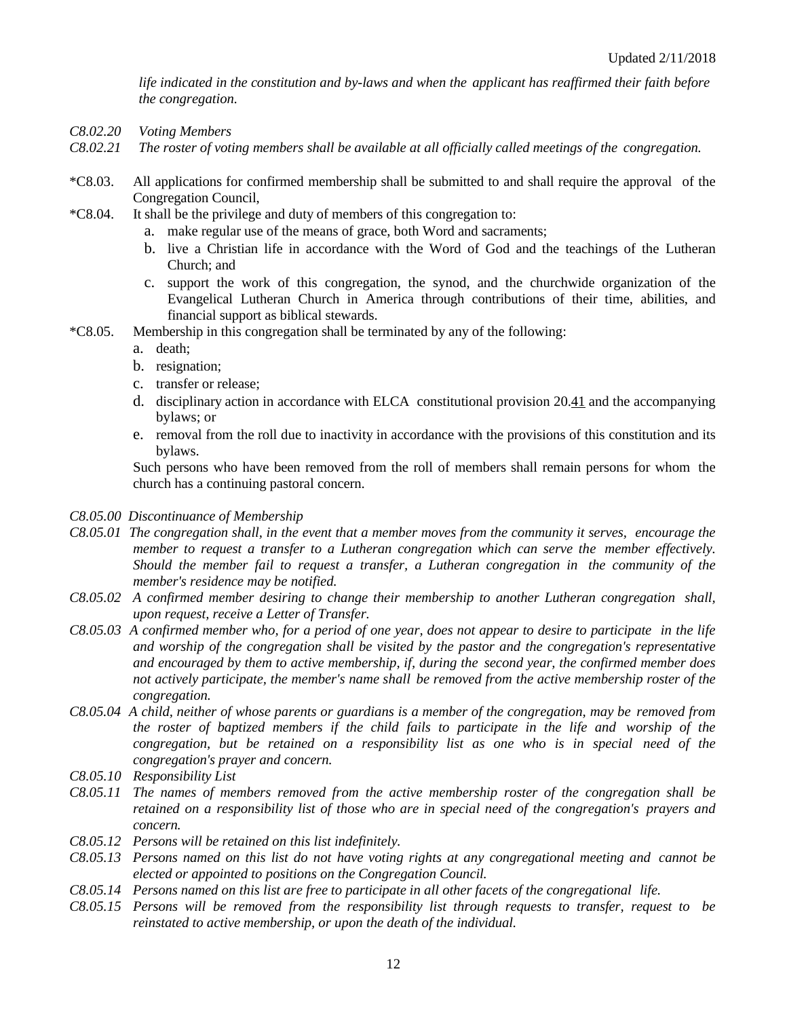*life indicated in the constitution and by-laws and when the applicant has reaffirmed their faith before the congregation.*

- *C8.02.20 Voting Members*
- *C8.02.21 The roster of voting members shall be available at all officially called meetings of the congregation.*
- \*C8.03. All applications for confirmed membership shall be submitted to and shall require the approval of the Congregation Council,
- \*C8.04. It shall be the privilege and duty of members of this congregation to:
	- a. make regular use of the means of grace, both Word and sacraments;
	- b. live a Christian life in accordance with the Word of God and the teachings of the Lutheran Church; and
	- c. support the work of this congregation, the synod, and the churchwide organization of the Evangelical Lutheran Church in America through contributions of their time, abilities, and financial support as biblical stewards.
- \*C8.05. Membership in this congregation shall be terminated by any of the following:
	- a. death;
	- b. resignation;
	- c. transfer or release;
	- d. disciplinary action in accordance with ELCA constitutional provision 20.41 and the accompanying bylaws; or
	- e. removal from the roll due to inactivity in accordance with the provisions of this constitution and its bylaws.

Such persons who have been removed from the roll of members shall remain persons for whom the church has a continuing pastoral concern.

#### *C8.05.00 Discontinuance of Membership*

- *C8.05.01 The congregation shall, in the event that a member moves from the community it serves, encourage the member to request a transfer to a Lutheran congregation which can serve the member effectively. Should the member fail to request a transfer, a Lutheran congregation in the community of the member's residence may be notified.*
- *C8.05.02 A confirmed member desiring to change their membership to another Lutheran congregation shall, upon request, receive a Letter of Transfer.*
- *C8.05.03 A confirmed member who, for a period of one year, does not appear to desire to participate in the life and worship of the congregation shall be visited by the pastor and the congregation's representative and encouraged by them to active membership, if, during the second year, the confirmed member does not actively participate, the member's name shall be removed from the active membership roster of the congregation.*
- *C8.05.04 A child, neither of whose parents or guardians is a member of the congregation, may be removed from the roster of baptized members if the child fails to participate in the life and worship of the congregation, but be retained on a responsibility list as one who is in special need of the congregation's prayer and concern.*
- *C8.05.10 Responsibility List*
- *C8.05.11 The names of members removed from the active membership roster of the congregation shall be retained on a responsibility list of those who are in special need of the congregation's prayers and concern.*
- *C8.05.12 Persons will be retained on this list indefinitely.*
- *C8.05.13 Persons named on this list do not have voting rights at any congregational meeting and cannot be elected or appointed to positions on the Congregation Council.*
- *C8.05.14 Persons named on this list are free to participate in all other facets of the congregational life.*
- *C8.05.15 Persons will be removed from the responsibility list through requests to transfer, request to be reinstated to active membership, or upon the death of the individual.*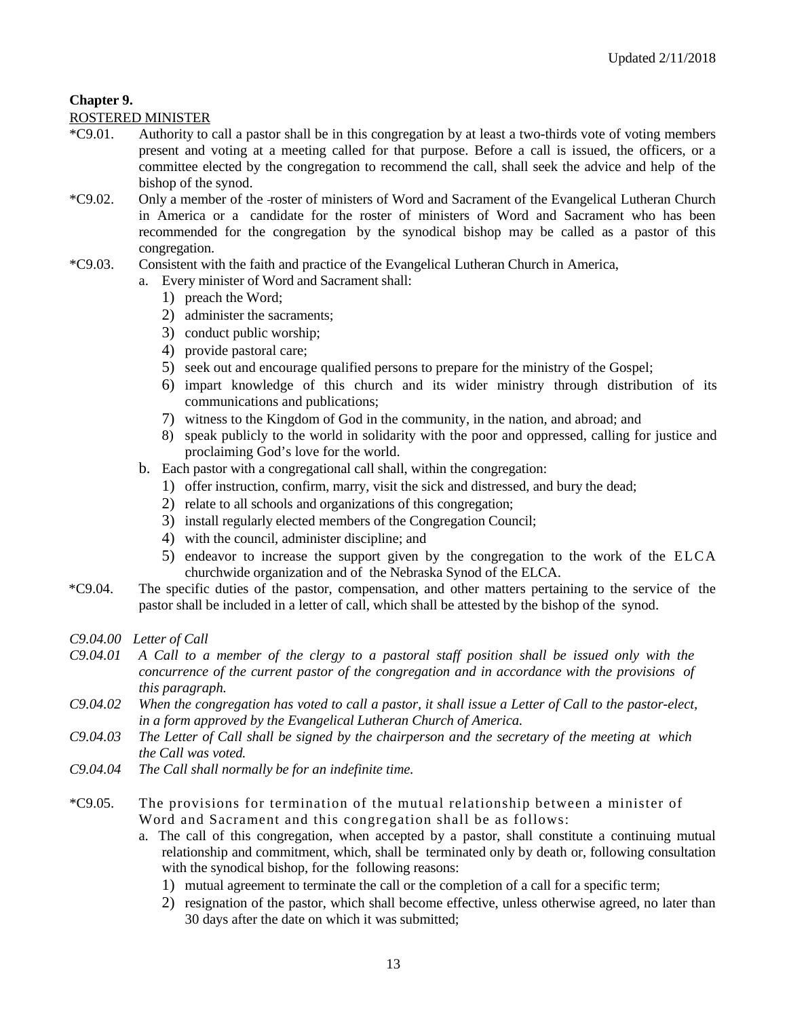# **Chapter 9.**

### ROSTERED MINISTER

- \*C9.01. Authority to call a pastor shall be in this congregation by at least a two-thirds vote of voting members present and voting at a meeting called for that purpose. Before a call is issued, the officers, or a committee elected by the congregation to recommend the call, shall seek the advice and help of the bishop of the synod.
- \*C9.02. Only a member of the roster of ministers of Word and Sacrament of the Evangelical Lutheran Church in America or a candidate for the roster of ministers of Word and Sacrament who has been recommended for the congregation by the synodical bishop may be called as a pastor of this congregation.
- \*C9.03. Consistent with the faith and practice of the Evangelical Lutheran Church in America,
	- a. Every minister of Word and Sacrament shall:
		- 1) preach the Word;
		- 2) administer the sacraments;
		- 3) conduct public worship;
		- 4) provide pastoral care;
		- 5) seek out and encourage qualified persons to prepare for the ministry of the Gospel;
		- 6) impart knowledge of this church and its wider ministry through distribution of its communications and publications;
		- 7) witness to the Kingdom of God in the community, in the nation, and abroad; and
		- 8) speak publicly to the world in solidarity with the poor and oppressed, calling for justice and proclaiming God's love for the world.
	- b. Each pastor with a congregational call shall, within the congregation:
		- 1) offer instruction, confirm, marry, visit the sick and distressed, and bury the dead;
		- 2) relate to all schools and organizations of this congregation;
		- 3) install regularly elected members of the Congregation Council;
		- 4) with the council, administer discipline; and
		- 5) endeavor to increase the support given by the congregation to the work of the ELCA churchwide organization and of the Nebraska Synod of the ELCA.
- \*C9.04. The specific duties of the pastor, compensation, and other matters pertaining to the service of the pastor shall be included in a letter of call, which shall be attested by the bishop of the synod.
- *C9.04.00 Letter of Call*
- *C9.04.01 A Call to a member of the clergy to a pastoral staff position shall be issued only with the concurrence of the current pastor of the congregation and in accordance with the provisions of this paragraph.*
- *C9.04.02 When the congregation has voted to call a pastor, it shall issue a Letter of Call to the pastor-elect, in a form approved by the Evangelical Lutheran Church of America.*
- *C9.04.03 The Letter of Call shall be signed by the chairperson and the secretary of the meeting at which the Call was voted.*
- *C9.04.04 The Call shall normally be for an indefinite time.*
- \*C9.05. The provisions for termination of the mutual relationship between a minister of Word and Sacrament and this congregation shall be as follows:
	- a. The call of this congregation, when accepted by a pastor, shall constitute a continuing mutual relationship and commitment, which, shall be terminated only by death or, following consultation with the synodical bishop, for the following reasons:
		- 1) mutual agreement to terminate the call or the completion of a call for a specific term;
		- 2) resignation of the pastor, which shall become effective, unless otherwise agreed, no later than 30 days after the date on which it was submitted;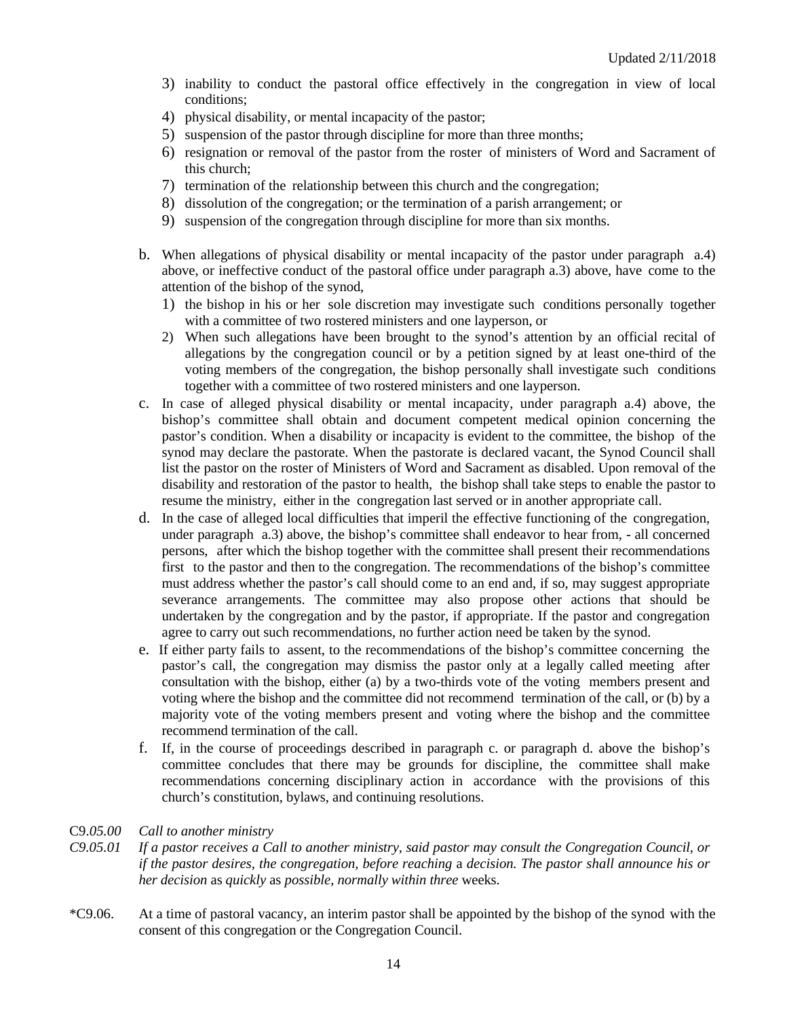- 3) inability to conduct the pastoral office effectively in the congregation in view of local conditions;
- 4) physical disability, or mental incapacity of the pastor;
- 5) suspension of the pastor through discipline for more than three months;
- 6) resignation or removal of the pastor from the roster of ministers of Word and Sacrament of this church;
- 7) termination of the relationship between this church and the congregation;
- 8) dissolution of the congregation; or the termination of a parish arrangement; or
- 9) suspension of the congregation through discipline for more than six months.
- b. When allegations of physical disability or mental incapacity of the pastor under paragraph a.4) above, or ineffective conduct of the pastoral office under paragraph a.3) above, have come to the attention of the bishop of the synod,
	- 1) the bishop in his or her sole discretion may investigate such conditions personally together with a committee of two rostered ministers and one layperson, or
	- 2) When such allegations have been brought to the synod's attention by an official recital of allegations by the congregation council or by a petition signed by at least one-third of the voting members of the congregation, the bishop personally shall investigate such conditions together with a committee of two rostered ministers and one layperson.
- c. In case of alleged physical disability or mental incapacity, under paragraph a.4) above, the bishop's committee shall obtain and document competent medical opinion concerning the pastor's condition. When a disability or incapacity is evident to the committee, the bishop of the synod may declare the pastorate. When the pastorate is declared vacant, the Synod Council shall list the pastor on the roster of Ministers of Word and Sacrament as disabled. Upon removal of the disability and restoration of the pastor to health, the bishop shall take steps to enable the pastor to resume the ministry, either in the congregation last served or in another appropriate call.
- d. In the case of alleged local difficulties that imperil the effective functioning of the congregation, under paragraph a.3) above, the bishop's committee shall endeavor to hear from, - all concerned persons, after which the bishop together with the committee shall present their recommendations first to the pastor and then to the congregation. The recommendations of the bishop's committee must address whether the pastor's call should come to an end and, if so, may suggest appropriate severance arrangements. The committee may also propose other actions that should be undertaken by the congregation and by the pastor, if appropriate. If the pastor and congregation agree to carry out such recommendations, no further action need be taken by the synod.
- e. If either party fails to assent, to the recommendations of the bishop's committee concerning the pastor's call, the congregation may dismiss the pastor only at a legally called meeting after consultation with the bishop, either (a) by a two-thirds vote of the voting members present and voting where the bishop and the committee did not recommend termination of the call, or (b) by a majority vote of the voting members present and voting where the bishop and the committee recommend termination of the call.
- f. If, in the course of proceedings described in paragraph c. or paragraph d. above the bishop's committee concludes that there may be grounds for discipline, the committee shall make recommendations concerning disciplinary action in accordance with the provisions of this church's constitution, bylaws, and continuing resolutions.

### C9.*05.00 Call to another ministry*

*C9.05.01 If a pastor receives a Call to another ministry, said pastor may consult the Congregation Council, or if the pastor desires, the congregation, before reaching* a *decision. Th*e *pastor shall announce his or her decision* as *quickly* as *possible, normally within three* weeks.

\*C9.06. At a time of pastoral vacancy, an interim pastor shall be appointed by the bishop of the synod with the consent of this congregation or the Congregation Council.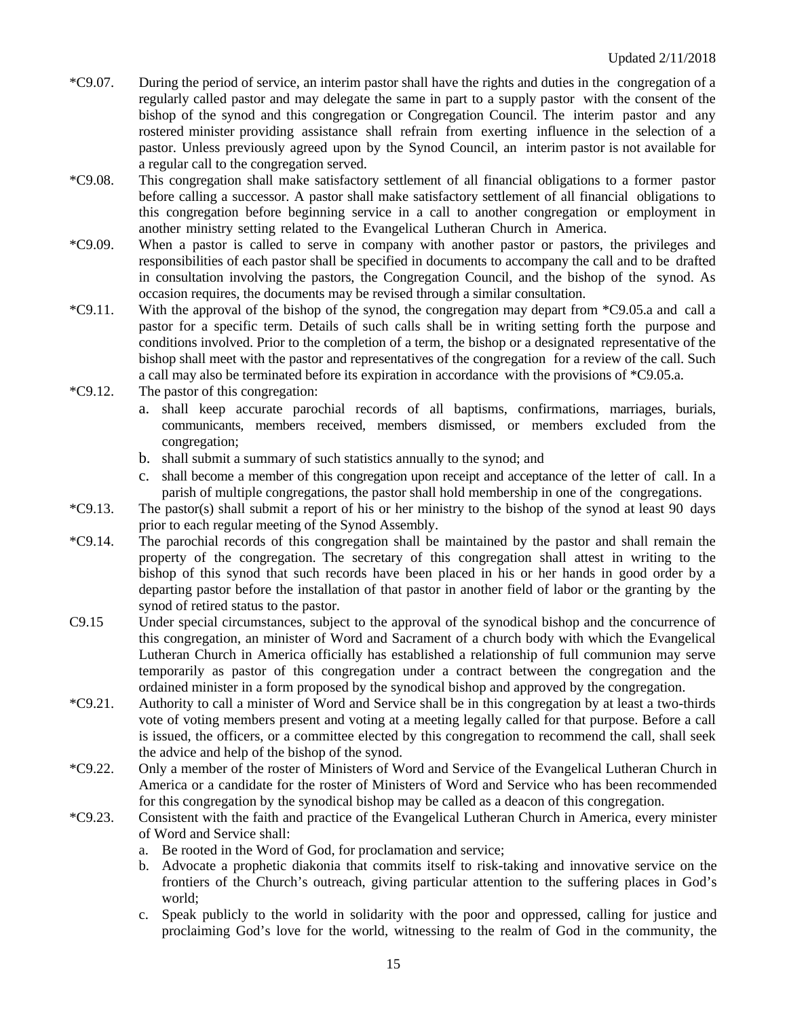- \*C9.07. During the period of service, an interim pastor shall have the rights and duties in the congregation of a regularly called pastor and may delegate the same in part to a supply pastor with the consent of the bishop of the synod and this congregation or Congregation Council. The interim pastor and any rostered minister providing assistance shall refrain from exerting influence in the selection of a pastor. Unless previously agreed upon by the Synod Council, an interim pastor is not available for a regular call to the congregation served.
- \*C9.08. This congregation shall make satisfactory settlement of all financial obligations to a former pastor before calling a successor. A pastor shall make satisfactory settlement of all financial obligations to this congregation before beginning service in a call to another congregation or employment in another ministry setting related to the Evangelical Lutheran Church in America.
- \*C9.09. When a pastor is called to serve in company with another pastor or pastors, the privileges and responsibilities of each pastor shall be specified in documents to accompany the call and to be drafted in consultation involving the pastors, the Congregation Council, and the bishop of the synod. As occasion requires, the documents may be revised through a similar consultation.
- \*C9.11. With the approval of the bishop of the synod, the congregation may depart from \*C9.05.a and call a pastor for a specific term. Details of such calls shall be in writing setting forth the purpose and conditions involved. Prior to the completion of a term, the bishop or a designated representative of the bishop shall meet with the pastor and representatives of the congregation for a review of the call. Such a call may also be terminated before its expiration in accordance with the provisions of \*C9.05.a.
- \*C9.12. The pastor of this congregation:
	- a. shall keep accurate parochial records of all baptisms, confirmations, marriages, burials, communicants, members received, members dismissed, or members excluded from the congregation;
	- b. shall submit a summary of such statistics annually to the synod; and
	- c. shall become a member of this congregation upon receipt and acceptance of the letter of call. In a parish of multiple congregations, the pastor shall hold membership in one of the congregations.
- \*C9.13. The pastor(s) shall submit a report of his or her ministry to the bishop of the synod at least 90 days prior to each regular meeting of the Synod Assembly.
- \*C9.14. The parochial records of this congregation shall be maintained by the pastor and shall remain the property of the congregation. The secretary of this congregation shall attest in writing to the bishop of this synod that such records have been placed in his or her hands in good order by a departing pastor before the installation of that pastor in another field of labor or the granting by the synod of retired status to the pastor.
- C9.15 Under special circumstances, subject to the approval of the synodical bishop and the concurrence of this congregation, an minister of Word and Sacrament of a church body with which the Evangelical Lutheran Church in America officially has established a relationship of full communion may serve temporarily as pastor of this congregation under a contract between the congregation and the ordained minister in a form proposed by the synodical bishop and approved by the congregation.
- \*C9.21. Authority to call a minister of Word and Service shall be in this congregation by at least a two-thirds vote of voting members present and voting at a meeting legally called for that purpose. Before a call is issued, the officers, or a committee elected by this congregation to recommend the call, shall seek the advice and help of the bishop of the synod.
- \*C9.22. Only a member of the roster of Ministers of Word and Service of the Evangelical Lutheran Church in America or a candidate for the roster of Ministers of Word and Service who has been recommended for this congregation by the synodical bishop may be called as a deacon of this congregation.
- \*C9.23. Consistent with the faith and practice of the Evangelical Lutheran Church in America, every minister of Word and Service shall:
	- a. Be rooted in the Word of God, for proclamation and service;
	- b. Advocate a prophetic diakonia that commits itself to risk-taking and innovative service on the frontiers of the Church's outreach, giving particular attention to the suffering places in God's world;
	- c. Speak publicly to the world in solidarity with the poor and oppressed, calling for justice and proclaiming God's love for the world, witnessing to the realm of God in the community, the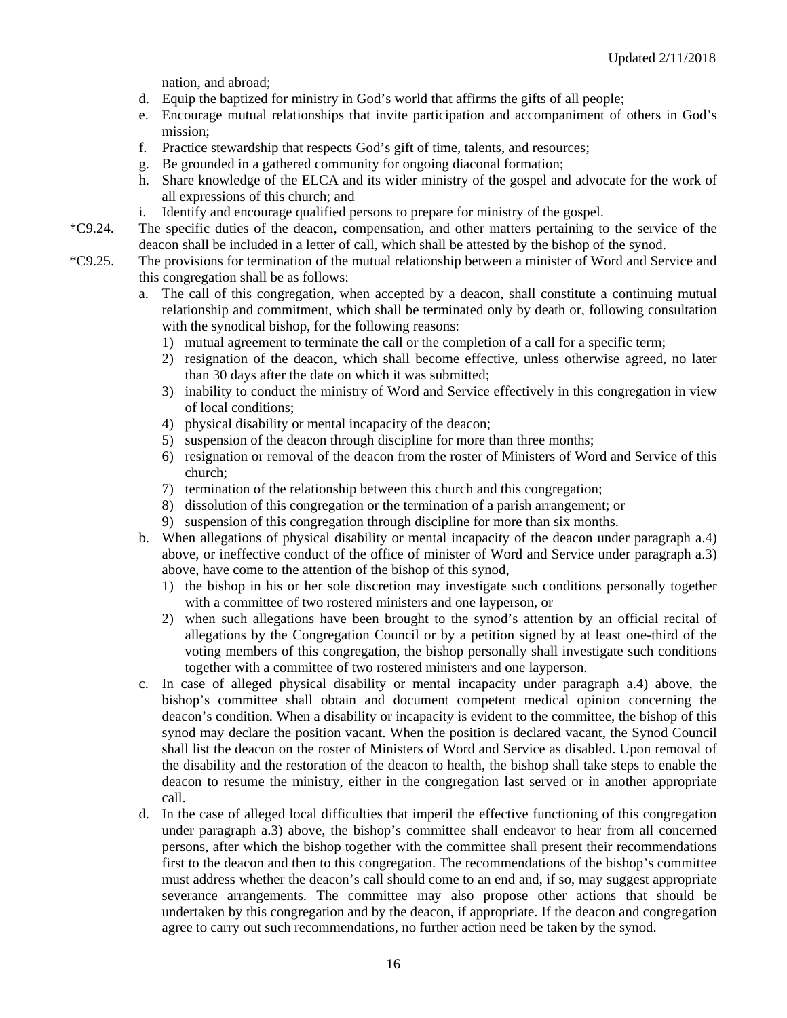nation, and abroad;

- d. Equip the baptized for ministry in God's world that affirms the gifts of all people;
- e. Encourage mutual relationships that invite participation and accompaniment of others in God's mission;
- f. Practice stewardship that respects God's gift of time, talents, and resources;
- g. Be grounded in a gathered community for ongoing diaconal formation;
- h. Share knowledge of the ELCA and its wider ministry of the gospel and advocate for the work of all expressions of this church; and
- i. Identify and encourage qualified persons to prepare for ministry of the gospel.
- \*C9.24. The specific duties of the deacon, compensation, and other matters pertaining to the service of the deacon shall be included in a letter of call, which shall be attested by the bishop of the synod.
- \*C9.25. The provisions for termination of the mutual relationship between a minister of Word and Service and this congregation shall be as follows:
	- a. The call of this congregation, when accepted by a deacon, shall constitute a continuing mutual relationship and commitment, which shall be terminated only by death or, following consultation with the synodical bishop, for the following reasons:
		- 1) mutual agreement to terminate the call or the completion of a call for a specific term;
		- 2) resignation of the deacon, which shall become effective, unless otherwise agreed, no later than 30 days after the date on which it was submitted;
		- 3) inability to conduct the ministry of Word and Service effectively in this congregation in view of local conditions;
		- 4) physical disability or mental incapacity of the deacon;
		- 5) suspension of the deacon through discipline for more than three months;
		- 6) resignation or removal of the deacon from the roster of Ministers of Word and Service of this church;
		- 7) termination of the relationship between this church and this congregation;
		- 8) dissolution of this congregation or the termination of a parish arrangement; or
		- 9) suspension of this congregation through discipline for more than six months.
	- b. When allegations of physical disability or mental incapacity of the deacon under paragraph a.4) above, or ineffective conduct of the office of minister of Word and Service under paragraph a.3) above, have come to the attention of the bishop of this synod,
		- 1) the bishop in his or her sole discretion may investigate such conditions personally together with a committee of two rostered ministers and one layperson, or
		- 2) when such allegations have been brought to the synod's attention by an official recital of allegations by the Congregation Council or by a petition signed by at least one-third of the voting members of this congregation, the bishop personally shall investigate such conditions together with a committee of two rostered ministers and one layperson.
	- c. In case of alleged physical disability or mental incapacity under paragraph a.4) above, the bishop's committee shall obtain and document competent medical opinion concerning the deacon's condition. When a disability or incapacity is evident to the committee, the bishop of this synod may declare the position vacant. When the position is declared vacant, the Synod Council shall list the deacon on the roster of Ministers of Word and Service as disabled. Upon removal of the disability and the restoration of the deacon to health, the bishop shall take steps to enable the deacon to resume the ministry, either in the congregation last served or in another appropriate call.
	- d. In the case of alleged local difficulties that imperil the effective functioning of this congregation under paragraph a.3) above, the bishop's committee shall endeavor to hear from all concerned persons, after which the bishop together with the committee shall present their recommendations first to the deacon and then to this congregation. The recommendations of the bishop's committee must address whether the deacon's call should come to an end and, if so, may suggest appropriate severance arrangements. The committee may also propose other actions that should be undertaken by this congregation and by the deacon, if appropriate. If the deacon and congregation agree to carry out such recommendations, no further action need be taken by the synod.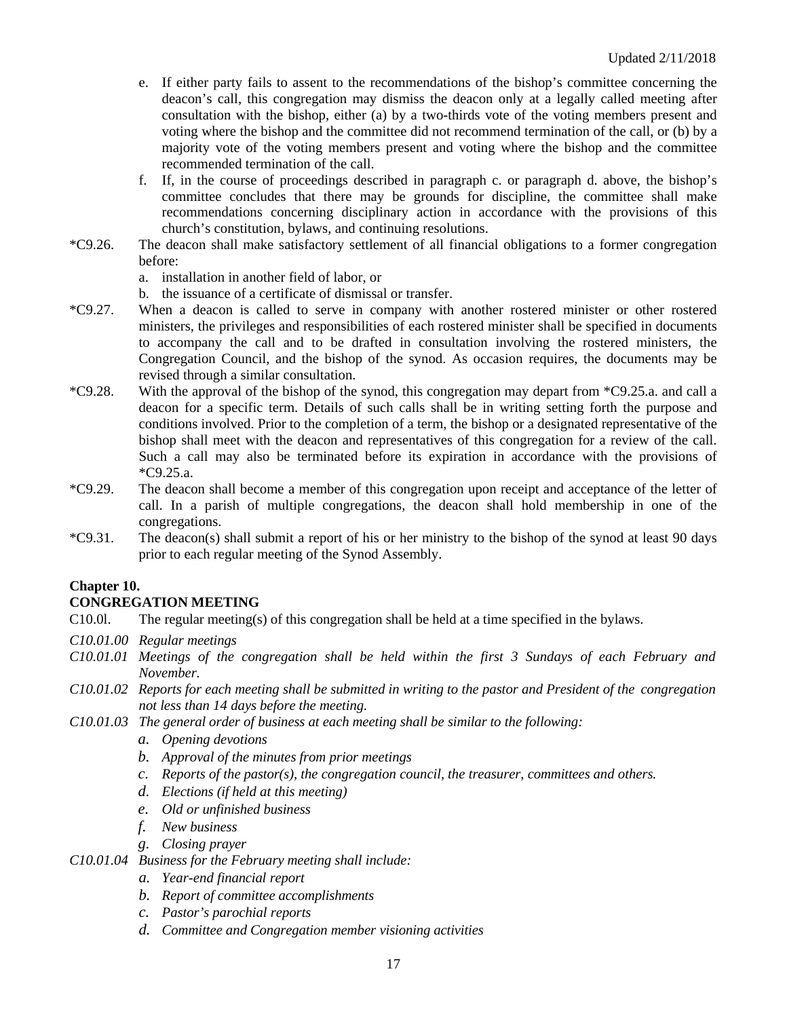- e. If either party fails to assent to the recommendations of the bishop's committee concerning the deacon's call, this congregation may dismiss the deacon only at a legally called meeting after consultation with the bishop, either (a) by a two-thirds vote of the voting members present and voting where the bishop and the committee did not recommend termination of the call, or (b) by a majority vote of the voting members present and voting where the bishop and the committee recommended termination of the call.
- f. If, in the course of proceedings described in paragraph c. or paragraph d. above, the bishop's committee concludes that there may be grounds for discipline, the committee shall make recommendations concerning disciplinary action in accordance with the provisions of this church's constitution, bylaws, and continuing resolutions.
- \*C9.26. The deacon shall make satisfactory settlement of all financial obligations to a former congregation before:
	- a. installation in another field of labor, or
	- b. the issuance of a certificate of dismissal or transfer.
- \*C9.27. When a deacon is called to serve in company with another rostered minister or other rostered ministers, the privileges and responsibilities of each rostered minister shall be specified in documents to accompany the call and to be drafted in consultation involving the rostered ministers, the Congregation Council, and the bishop of the synod. As occasion requires, the documents may be revised through a similar consultation.
- \*C9.28. With the approval of the bishop of the synod, this congregation may depart from \*C9.25.a. and call a deacon for a specific term. Details of such calls shall be in writing setting forth the purpose and conditions involved. Prior to the completion of a term, the bishop or a designated representative of the bishop shall meet with the deacon and representatives of this congregation for a review of the call. Such a call may also be terminated before its expiration in accordance with the provisions of \*C9.25.a.
- \*C9.29. The deacon shall become a member of this congregation upon receipt and acceptance of the letter of call. In a parish of multiple congregations, the deacon shall hold membership in one of the congregations.
- \*C9.31. The deacon(s) shall submit a report of his or her ministry to the bishop of the synod at least 90 days prior to each regular meeting of the Synod Assembly.

# **Chapter 10.**

### **CONGREGATION MEETING**

- C10.0l. The regular meeting(s) of this congregation shall be held at a time specified in the bylaws.
- *C10.01.00 Regular meetings*
- *C10.01.01 Meetings of the congregation shall be held within the first 3 Sundays of each February and November.*
- *C10.01.02 Reports for each meeting shall be submitted in writing to the pastor and President of the congregation not less than 14 days before the meeting.*
- *C10.01.03 The general order of business at each meeting shall be similar to the following:*
	- *a. Opening devotions*
	- *b. Approval of the minutes from prior meetings*
	- *c. Reports of the pastor(s), the congregation council, the treasurer, committees and others.*
	- *d. Elections (if held at this meeting)*
	- *e. Old or unfinished business*
	- *f. New business*

*g. Closing prayer*

*C10.01.04 Business for the February meeting shall include:*

- *a. Year-end financial report*
- *b. Report of committee accomplishments*
- *c. Pastor's parochial reports*
- *d. Committee and Congregation member visioning activities*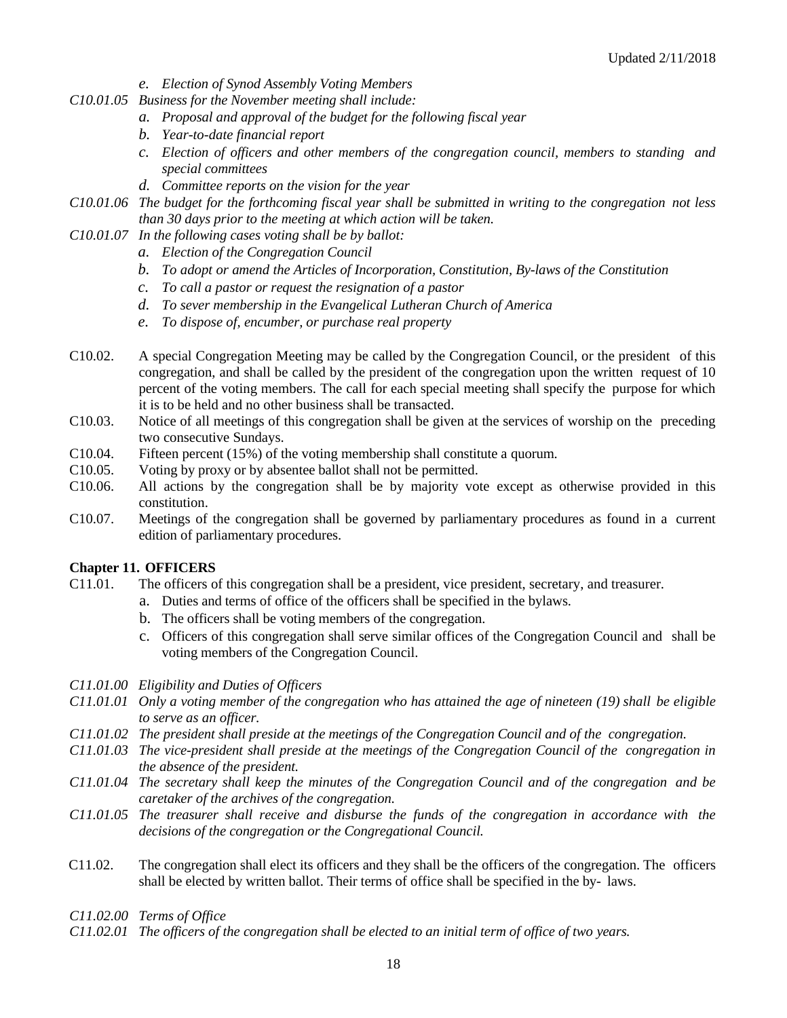- *e. Election of Synod Assembly Voting Members*
- *C10.01.05 Business for the November meeting shall include:*
	- *a. Proposal and approval of the budget for the following fiscal year*
	- *b. Year-to-date financial report*
	- *c. Election of officers and other members of the congregation council, members to standing and special committees*
	- *d. Committee reports on the vision for the year*
- *C10.01.06 The budget for the forthcoming fiscal year shall be submitted in writing to the congregation not less than 30 days prior to the meeting at which action will be taken.*
- *C10.01.07 In the following cases voting shall be by ballot:*
	- *a. Election of the Congregation Council*
	- *b. To adopt or amend the Articles of Incorporation, Constitution, By-laws of the Constitution*
	- *c. To call a pastor or request the resignation of a pastor*
	- *d. To sever membership in the Evangelical Lutheran Church of America*
	- *e. To dispose of, encumber, or purchase real property*
- C10.02. A special Congregation Meeting may be called by the Congregation Council, or the president of this congregation, and shall be called by the president of the congregation upon the written request of 10 percent of the voting members. The call for each special meeting shall specify the purpose for which it is to be held and no other business shall be transacted.
- C10.03. Notice of all meetings of this congregation shall be given at the services of worship on the preceding two consecutive Sundays.
- C10.04. Fifteen percent (15%) of the voting membership shall constitute a quorum.
- C10.05. Voting by proxy or by absentee ballot shall not be permitted.
- C10.06. All actions by the congregation shall be by majority vote except as otherwise provided in this constitution.
- C10.07. Meetings of the congregation shall be governed by parliamentary procedures as found in a current edition of parliamentary procedures.

#### **Chapter 11. OFFICERS**

- C11.01. The officers of this congregation shall be a president, vice president, secretary, and treasurer.
	- a. Duties and terms of office of the officers shall be specified in the bylaws.
	- b. The officers shall be voting members of the congregation.
	- c. Officers of this congregation shall serve similar offices of the Congregation Council and shall be voting members of the Congregation Council.
- *C11.01.00 Eligibility and Duties of Officers*
- *C11.01.01 Only a voting member of the congregation who has attained the age of nineteen (19) shall be eligible to serve as an officer.*
- *C11.01.02 The president shall preside at the meetings of the Congregation Council and of the congregation.*
- *C11.01.03 The vice-president shall preside at the meetings of the Congregation Council of the congregation in the absence of the president.*
- *C11.01.04 The secretary shall keep the minutes of the Congregation Council and of the congregation and be caretaker of the archives of the congregation.*
- *C11.01.05 The treasurer shall receive and disburse the funds of the congregation in accordance with the decisions of the congregation or the Congregational Council.*
- C11.02. The congregation shall elect its officers and they shall be the officers of the congregation. The officers shall be elected by written ballot. Their terms of office shall be specified in the by- laws.
- *C11.02.00 Terms of Office*
- *C11.02.01 The officers of the congregation shall be elected to an initial term of office of two years.*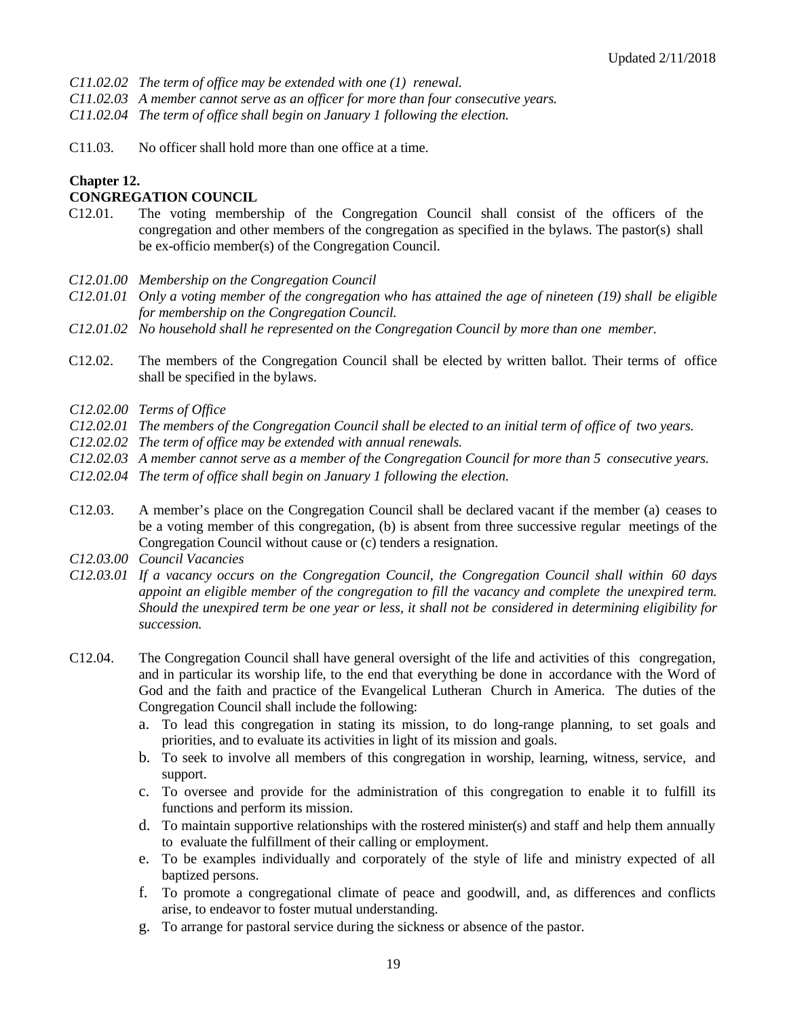*C11.02.02 The term of office may be extended with one (1) renewal.*

*C11.02.03 A member cannot serve as an officer for more than four consecutive years.* 

*C11.02.04 The term of office shall begin on January 1 following the election.*

C11.03. No officer shall hold more than one office at a time.

# **Chapter 12.**

### **CONGREGATION COUNCIL**

- C12.01. The voting membership of the Congregation Council shall consist of the officers of the congregation and other members of the congregation as specified in the bylaws. The pastor(s) shall be ex-officio member(s) of the Congregation Council.
- *C12.01.00 Membership on the Congregation Council*
- *C12.01.01 Only a voting member of the congregation who has attained the age of nineteen (19) shall be eligible for membership on the Congregation Council.*
- *C12.01.02 No household shall he represented on the Congregation Council by more than one member.*
- C12.02. The members of the Congregation Council shall be elected by written ballot. Their terms of office shall be specified in the bylaws.
- *C12.02.00 Terms of Office*
- *C12.02.01 The members of the Congregation Council shall be elected to an initial term of office of two years.*
- *C12.02.02 The term of office may be extended with annual renewals.*
- *C12.02.03 A member cannot serve as a member of the Congregation Council for more than 5 consecutive years.*
- *C12.02.04 The term of office shall begin on January 1 following the election.*
- C12.03. A member's place on the Congregation Council shall be declared vacant if the member (a) ceases to be a voting member of this congregation, (b) is absent from three successive regular meetings of the Congregation Council without cause or (c) tenders a resignation.
- *C12.03.00 Council Vacancies*
- *C12.03.01 If a vacancy occurs on the Congregation Council, the Congregation Council shall within 60 days appoint an eligible member of the congregation to fill the vacancy and complete the unexpired term. Should the unexpired term be one year or less, it shall not be considered in determining eligibility for succession.*
- C12.04. The Congregation Council shall have general oversight of the life and activities of this congregation, and in particular its worship life, to the end that everything be done in accordance with the Word of God and the faith and practice of the Evangelical Lutheran Church in America. The duties of the Congregation Council shall include the following:
	- a. To lead this congregation in stating its mission, to do long-range planning, to set goals and priorities, and to evaluate its activities in light of its mission and goals.
	- b. To seek to involve all members of this congregation in worship, learning, witness, service, and support.
	- c. To oversee and provide for the administration of this congregation to enable it to fulfill its functions and perform its mission.
	- d. To maintain supportive relationships with the rostered minister(s) and staff and help them annually to evaluate the fulfillment of their calling or employment.
	- e. To be examples individually and corporately of the style of life and ministry expected of all baptized persons.
	- f. To promote a congregational climate of peace and goodwill, and, as differences and conflicts arise, to endeavor to foster mutual understanding.
	- g. To arrange for pastoral service during the sickness or absence of the pastor.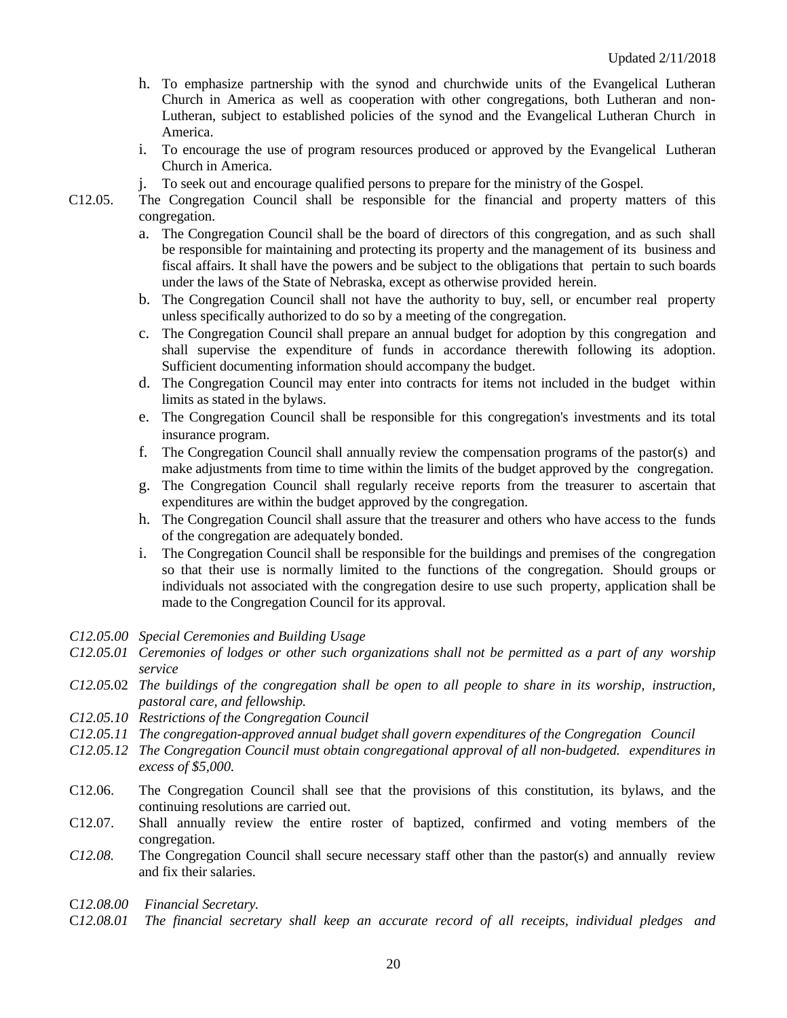- h. To emphasize partnership with the synod and churchwide units of the Evangelical Lutheran Church in America as well as cooperation with other congregations, both Lutheran and non-Lutheran, subject to established policies of the synod and the Evangelical Lutheran Church in America.
- i. To encourage the use of program resources produced or approved by the Evangelical Lutheran Church in America.
- j. To seek out and encourage qualified persons to prepare for the ministry of the Gospel.
- C12.05. The Congregation Council shall be responsible for the financial and property matters of this congregation.
	- a. The Congregation Council shall be the board of directors of this congregation, and as such shall be responsible for maintaining and protecting its property and the management of its business and fiscal affairs. It shall have the powers and be subject to the obligations that pertain to such boards under the laws of the State of Nebraska, except as otherwise provided herein.
	- b. The Congregation Council shall not have the authority to buy, sell, or encumber real property unless specifically authorized to do so by a meeting of the congregation.
	- c. The Congregation Council shall prepare an annual budget for adoption by this congregation and shall supervise the expenditure of funds in accordance therewith following its adoption. Sufficient documenting information should accompany the budget.
	- d. The Congregation Council may enter into contracts for items not included in the budget within limits as stated in the bylaws.
	- e. The Congregation Council shall be responsible for this congregation's investments and its total insurance program.
	- f. The Congregation Council shall annually review the compensation programs of the pastor(s) and make adjustments from time to time within the limits of the budget approved by the congregation.
	- g. The Congregation Council shall regularly receive reports from the treasurer to ascertain that expenditures are within the budget approved by the congregation.
	- h. The Congregation Council shall assure that the treasurer and others who have access to the funds of the congregation are adequately bonded.
	- i. The Congregation Council shall be responsible for the buildings and premises of the congregation so that their use is normally limited to the functions of the congregation. Should groups or individuals not associated with the congregation desire to use such property, application shall be made to the Congregation Council for its approval.
- *C12.05.00 Special Ceremonies and Building Usage*
- *C12.05.01 Ceremonies of lodges or other such organizations shall not be permitted as a part of any worship service*
- *C12.05.*02 *The buildings of the congregation shall be open to all people to share in its worship, instruction, pastoral care, and fellowship.*
- *C12.05.10 Restrictions of the Congregation Council*
- *C12.05.11 The congregation-approved annual budget shall govern expenditures of the Congregation Council*
- *C12.05.12 The Congregation Council must obtain congregational approval of all non-budgeted. expenditures in excess of \$5,000.*
- C12.06. The Congregation Council shall see that the provisions of this constitution, its bylaws, and the continuing resolutions are carried out.
- C12.07. Shall annually review the entire roster of baptized, confirmed and voting members of the congregation.
- *C12.08.* The Congregation Council shall secure necessary staff other than the pastor(s) and annually review and fix their salaries.
- C*12.08.00 Financial Secretary.*
- C*12.08.01 The financial secretary shall keep an accurate record of all receipts, individual pledges and*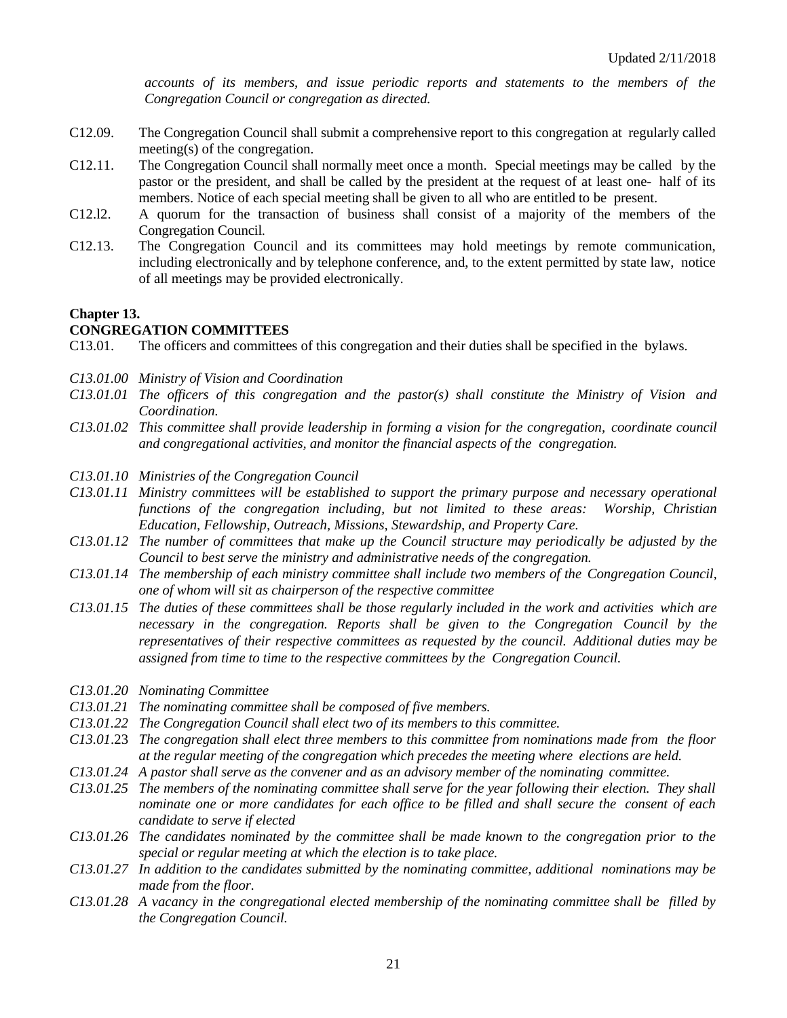*accounts of its members, and issue periodic reports and statements to the members of the Congregation Council or congregation as directed.*

- C12.09. The Congregation Council shall submit a comprehensive report to this congregation at regularly called meeting(s) of the congregation.
- C12.11. The Congregation Council shall normally meet once a month. Special meetings may be called by the pastor or the president, and shall be called by the president at the request of at least one- half of its members. Notice of each special meeting shall be given to all who are entitled to be present.
- C12.l2. A quorum for the transaction of business shall consist of a majority of the members of the Congregation Council.
- C12.13. The Congregation Council and its committees may hold meetings by remote communication, including electronically and by telephone conference, and, to the extent permitted by state law, notice of all meetings may be provided electronically.

# **Chapter 13.**

#### **CONGREGATION COMMITTEES**

- C13.01. The officers and committees of this congregation and their duties shall be specified in the bylaws.
- *C13.01.00 Ministry of Vision and Coordination*
- *C13.01.01 The officers of this congregation and the pastor(s) shall constitute the Ministry of Vision and Coordination.*
- *C13.01.02 This committee shall provide leadership in forming a vision for the congregation, coordinate council and congregational activities, and monitor the financial aspects of the congregation.*
- *C13.01.10 Ministries of the Congregation Council*
- *C13.01.11 Ministry committees will be established to support the primary purpose and necessary operational functions of the congregation including, but not limited to these areas: Worship, Christian Education, Fellowship, Outreach, Missions, Stewardship, and Property Care.*
- *C13.01.12 The number of committees that make up the Council structure may periodically be adjusted by the Council to best serve the ministry and administrative needs of the congregation.*
- *C13.01.14 The membership of each ministry committee shall include two members of the Congregation Council, one of whom will sit as chairperson of the respective committee*
- *C13.01.15 The duties of these committees shall be those regularly included in the work and activities which are necessary in the congregation. Reports shall be given to the Congregation Council by the representatives of their respective committees as requested by the council. Additional duties may be assigned from time to time to the respective committees by the Congregation Council.*
- *C13.01.20 Nominating Committee*
- *C13.01.21 The nominating committee shall be composed of five members.*
- *C13.01.22 The Congregation Council shall elect two of its members to this committee.*
- *C13.01*.23 *The congregation shall elect three members to this committee from nominations made from the floor at the regular meeting of the congregation which precedes the meeting where elections are held.*
- *C13.01.24 A pastor shall serve as the convener and as an advisory member of the nominating committee.*
- *C13.01.25 The members of the nominating committee shall serve for the year following their election. They shall nominate one or more candidates for each office to be filled and shall secure the consent of each candidate to serve if elected*
- *C13.01.26 The candidates nominated by the committee shall be made known to the congregation prior to the special or regular meeting at which the election is to take place.*
- *C13.01.27 In addition to the candidates submitted by the nominating committee, additional nominations may be made from the floor.*
- *C13.01.28 A vacancy in the congregational elected membership of the nominating committee shall be filled by the Congregation Council.*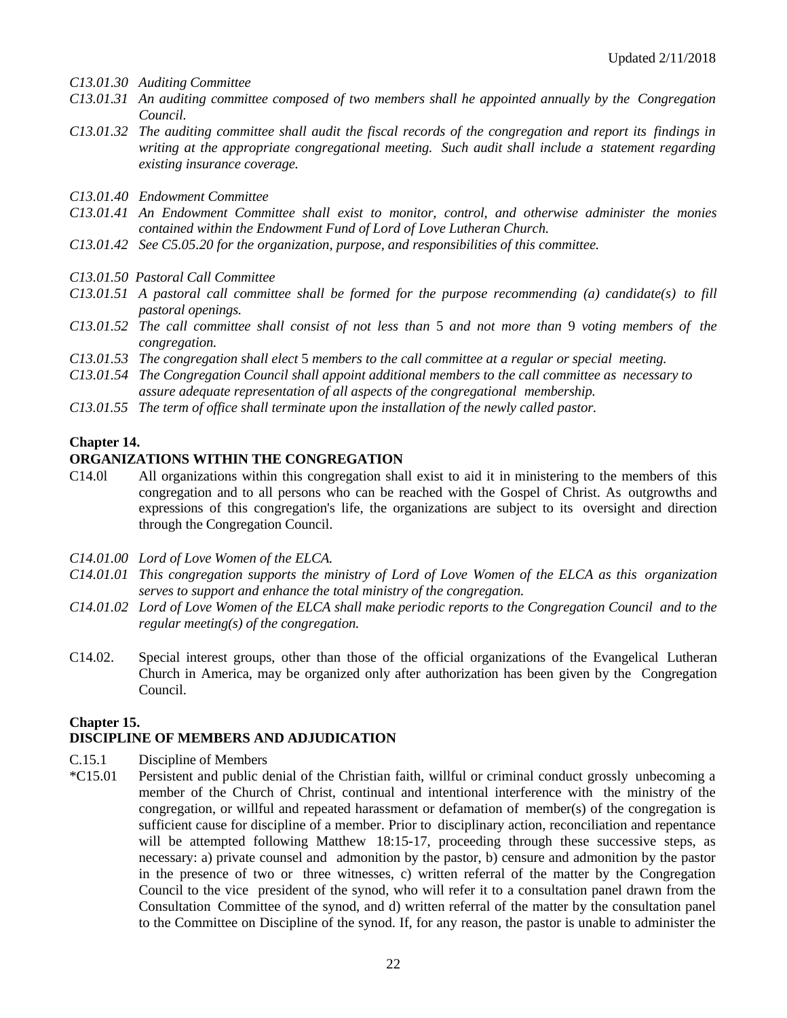- *C13.01.30 Auditing Committee*
- *C13.01.31 An auditing committee composed of two members shall he appointed annually by the Congregation Council.*
- *C13.01.32 The auditing committee shall audit the fiscal records of the congregation and report its findings in writing at the appropriate congregational meeting. Such audit shall include a statement regarding existing insurance coverage.*
- *C13.01.40 Endowment Committee*
- *C13.01.41 An Endowment Committee shall exist to monitor, control, and otherwise administer the monies contained within the Endowment Fund of Lord of Love Lutheran Church.*
- *C13.01.42 See C5.05.20 for the organization, purpose, and responsibilities of this committee.*
- *C13.01.50 Pastoral Call Committee*
- *C13.01.51 A pastoral call committee shall be formed for the purpose recommending (a) candidate(s) to fill pastoral openings.*
- *C13.01.52 The call committee shall consist of not less than* 5 *and not more than* 9 *voting members of the congregation.*
- *C13.01.53 The congregation shall elect* 5 *members to the call committee at a regular or special meeting.*
- *C13.01.54 The Congregation Council shall appoint additional members to the call committee as necessary to assure adequate representation of all aspects of the congregational membership.*
- *C13.01.55 The term of office shall terminate upon the installation of the newly called pastor.*

#### **Chapter 14.**

#### **ORGANIZATIONS WITHIN THE CONGREGATION**

- C14.0l All organizations within this congregation shall exist to aid it in ministering to the members of this congregation and to all persons who can be reached with the Gospel of Christ. As outgrowths and expressions of this congregation's life, the organizations are subject to its oversight and direction through the Congregation Council.
- *C14.01.00 Lord of Love Women of the ELCA.*
- *C14.01.01 This congregation supports the ministry of Lord of Love Women of the ELCA as this organization serves to support and enhance the total ministry of the congregation.*
- *C14.01.02 Lord of Love Women of the ELCA shall make periodic reports to the Congregation Council and to the regular meeting(s) of the congregation.*
- C14.02. Special interest groups, other than those of the official organizations of the Evangelical Lutheran Church in America, may be organized only after authorization has been given by the Congregation Council.

#### **Chapter 15.**

# **DISCIPLINE OF MEMBERS AND ADJUDICATION**

- C.15.1 Discipline of Members
- \*C15.01 Persistent and public denial of the Christian faith, willful or criminal conduct grossly unbecoming a member of the Church of Christ, continual and intentional interference with the ministry of the congregation, or willful and repeated harassment or defamation of member(s) of the congregation is sufficient cause for discipline of a member. Prior to disciplinary action, reconciliation and repentance will be attempted following Matthew 18:15-17, proceeding through these successive steps, as necessary: a) private counsel and admonition by the pastor, b) censure and admonition by the pastor in the presence of two or three witnesses, c) written referral of the matter by the Congregation Council to the vice president of the synod, who will refer it to a consultation panel drawn from the Consultation Committee of the synod, and d) written referral of the matter by the consultation panel to the Committee on Discipline of the synod. If, for any reason, the pastor is unable to administer the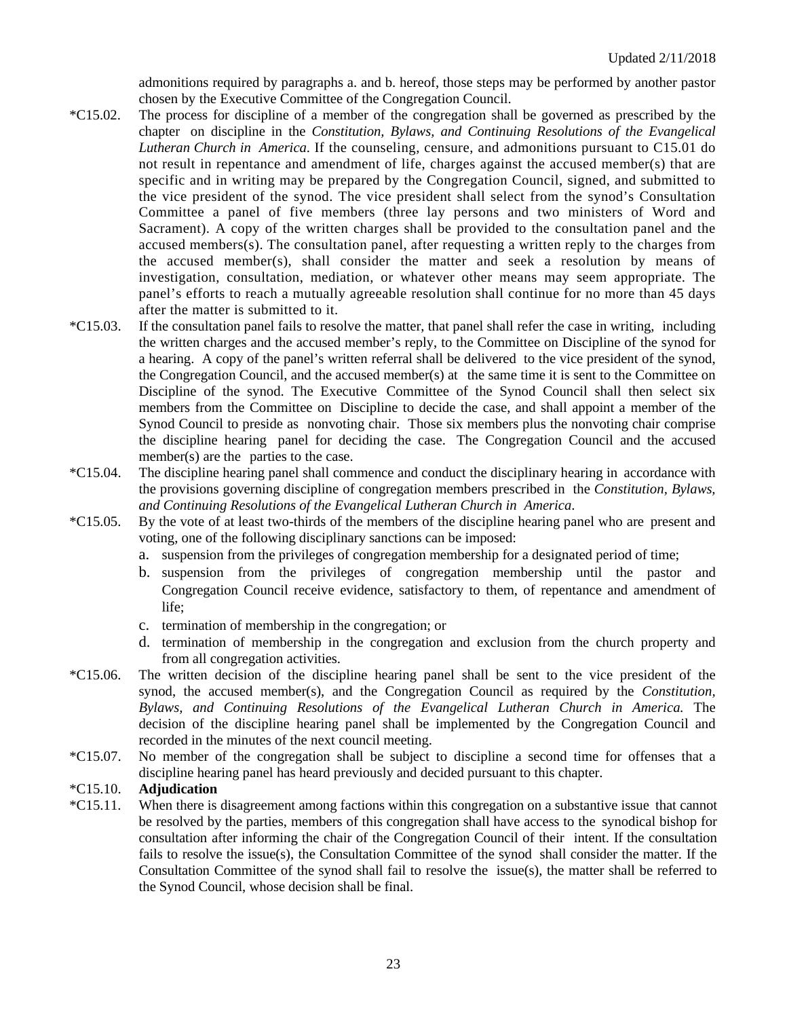admonitions required by paragraphs a. and b. hereof, those steps may be performed by another pastor chosen by the Executive Committee of the Congregation Council.

- \*C15.02. The process for discipline of a member of the congregation shall be governed as prescribed by the chapter on discipline in the *Constitution, Bylaws, and Continuing Resolutions of the Evangelical Lutheran Church in America*. If the counseling, censure, and admonitions pursuant to C15.01 do not result in repentance and amendment of life, charges against the accused member(s) that are specific and in writing may be prepared by the Congregation Council, signed, and submitted to the vice president of the synod. The vice president shall select from the synod's Consultation Committee a panel of five members (three lay persons and two ministers of Word and Sacrament). A copy of the written charges shall be provided to the consultation panel and the accused members(s). The consultation panel, after requesting a written reply to the charges from the accused member(s), shall consider the matter and seek a resolution by means of investigation, consultation, mediation, or whatever other means may seem appropriate. The panel's efforts to reach a mutually agreeable resolution shall continue for no more than 45 days after the matter is submitted to it.
- \*C15.03. If the consultation panel fails to resolve the matter, that panel shall refer the case in writing, including the written charges and the accused member's reply, to the Committee on Discipline of the synod for a hearing. A copy of the panel's written referral shall be delivered to the vice president of the synod, the Congregation Council, and the accused member(s) at the same time it is sent to the Committee on Discipline of the synod. The Executive Committee of the Synod Council shall then select six members from the Committee on Discipline to decide the case, and shall appoint a member of the Synod Council to preside as nonvoting chair. Those six members plus the nonvoting chair comprise the discipline hearing panel for deciding the case. The Congregation Council and the accused member(s) are the parties to the case.
- \*C15.04. The discipline hearing panel shall commence and conduct the disciplinary hearing in accordance with the provisions governing discipline of congregation members prescribed in the *Constitution, Bylaws, and Continuing Resolutions of the Evangelical Lutheran Church in America*.
- \*C15.05. By the vote of at least two-thirds of the members of the discipline hearing panel who are present and voting, one of the following disciplinary sanctions can be imposed:
	- a. suspension from the privileges of congregation membership for a designated period of time;
	- b. suspension from the privileges of congregation membership until the pastor and Congregation Council receive evidence, satisfactory to them, of repentance and amendment of life;
	- c. termination of membership in the congregation; or
	- d. termination of membership in the congregation and exclusion from the church property and from all congregation activities.
- \*C15.06. The written decision of the discipline hearing panel shall be sent to the vice president of the synod, the accused member(s), and the Congregation Council as required by the *Constitution, Bylaws, and Continuing Resolutions of the Evangelical Lutheran Church in America.* The decision of the discipline hearing panel shall be implemented by the Congregation Council and recorded in the minutes of the next council meeting.
- \*C15.07. No member of the congregation shall be subject to discipline a second time for offenses that a discipline hearing panel has heard previously and decided pursuant to this chapter.

### \*C15.10. **Adjudication**

\*C15.11. When there is disagreement among factions within this congregation on a substantive issue that cannot be resolved by the parties, members of this congregation shall have access to the synodical bishop for consultation after informing the chair of the Congregation Council of their intent. If the consultation fails to resolve the issue(s), the Consultation Committee of the synod shall consider the matter. If the Consultation Committee of the synod shall fail to resolve the issue(s), the matter shall be referred to the Synod Council, whose decision shall be final.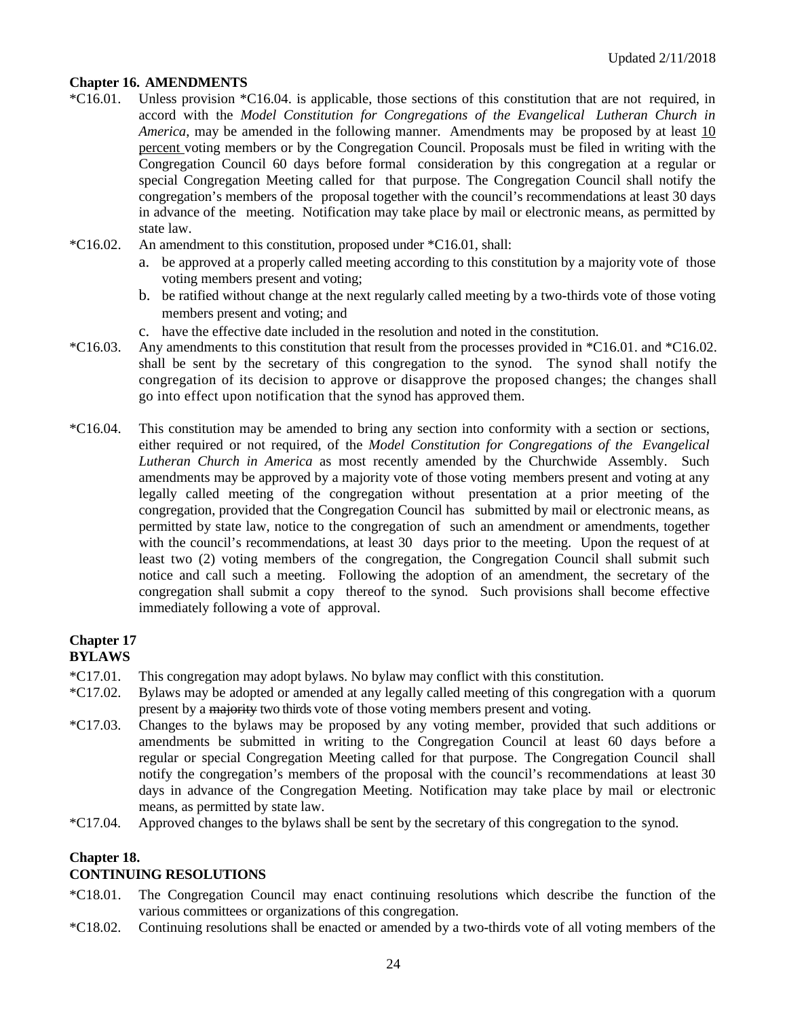# **Chapter 16. AMENDMENTS**

- \*C16.01. Unless provision \*C16.04. is applicable, those sections of this constitution that are not required, in accord with the *Model Constitution for Congregations of the Evangelical Lutheran Church in America*, may be amended in the following manner. Amendments may be proposed by at least 10 percent voting members or by the Congregation Council. Proposals must be filed in writing with the Congregation Council 60 days before formal consideration by this congregation at a regular or special Congregation Meeting called for that purpose. The Congregation Council shall notify the congregation's members of the proposal together with the council's recommendations at least 30 days in advance of the meeting. Notification may take place by mail or electronic means, as permitted by state law.
- \*C16.02. An amendment to this constitution, proposed under \*C16.01, shall:
	- a. be approved at a properly called meeting according to this constitution by a majority vote of those voting members present and voting;
	- b. be ratified without change at the next regularly called meeting by a two-thirds vote of those voting members present and voting; and
	- c. have the effective date included in the resolution and noted in the constitution.
- \*C16.03. Any amendments to this constitution that result from the processes provided in \*C16.01. and \*C16.02. shall be sent by the secretary of this congregation to the synod. The synod shall notify the congregation of its decision to approve or disapprove the proposed changes; the changes shall go into effect upon notification that the synod has approved them.
- \*C16.04. This constitution may be amended to bring any section into conformity with a section or sections, either required or not required, of the *Model Constitution for Congregations of the Evangelical Lutheran Church in America* as most recently amended by the Churchwide Assembly. Such amendments may be approved by a majority vote of those voting members present and voting at any legally called meeting of the congregation without presentation at a prior meeting of the congregation, provided that the Congregation Council has submitted by mail or electronic means, as permitted by state law, notice to the congregation of such an amendment or amendments, together with the council's recommendations, at least 30 days prior to the meeting. Upon the request of at least two (2) voting members of the congregation, the Congregation Council shall submit such notice and call such a meeting. Following the adoption of an amendment, the secretary of the congregation shall submit a copy thereof to the synod. Such provisions shall become effective immediately following a vote of approval.

### **Chapter 17 BYLAWS**

- \*C17.01. This congregation may adopt bylaws. No bylaw may conflict with this constitution.
- \*C17.02. Bylaws may be adopted or amended at any legally called meeting of this congregation with a quorum present by a majority two thirds vote of those voting members present and voting.
- \*C17.03. Changes to the bylaws may be proposed by any voting member, provided that such additions or amendments be submitted in writing to the Congregation Council at least 60 days before a regular or special Congregation Meeting called for that purpose. The Congregation Council shall notify the congregation's members of the proposal with the council's recommendations at least 30 days in advance of the Congregation Meeting. Notification may take place by mail or electronic means, as permitted by state law.
- \*C17.04. Approved changes to the bylaws shall be sent by the secretary of this congregation to the synod.

### **Chapter 18.**

### **CONTINUING RESOLUTIONS**

- \*C18.01. The Congregation Council may enact continuing resolutions which describe the function of the various committees or organizations of this congregation.
- \*C18.02. Continuing resolutions shall be enacted or amended by a two-thirds vote of all voting members of the